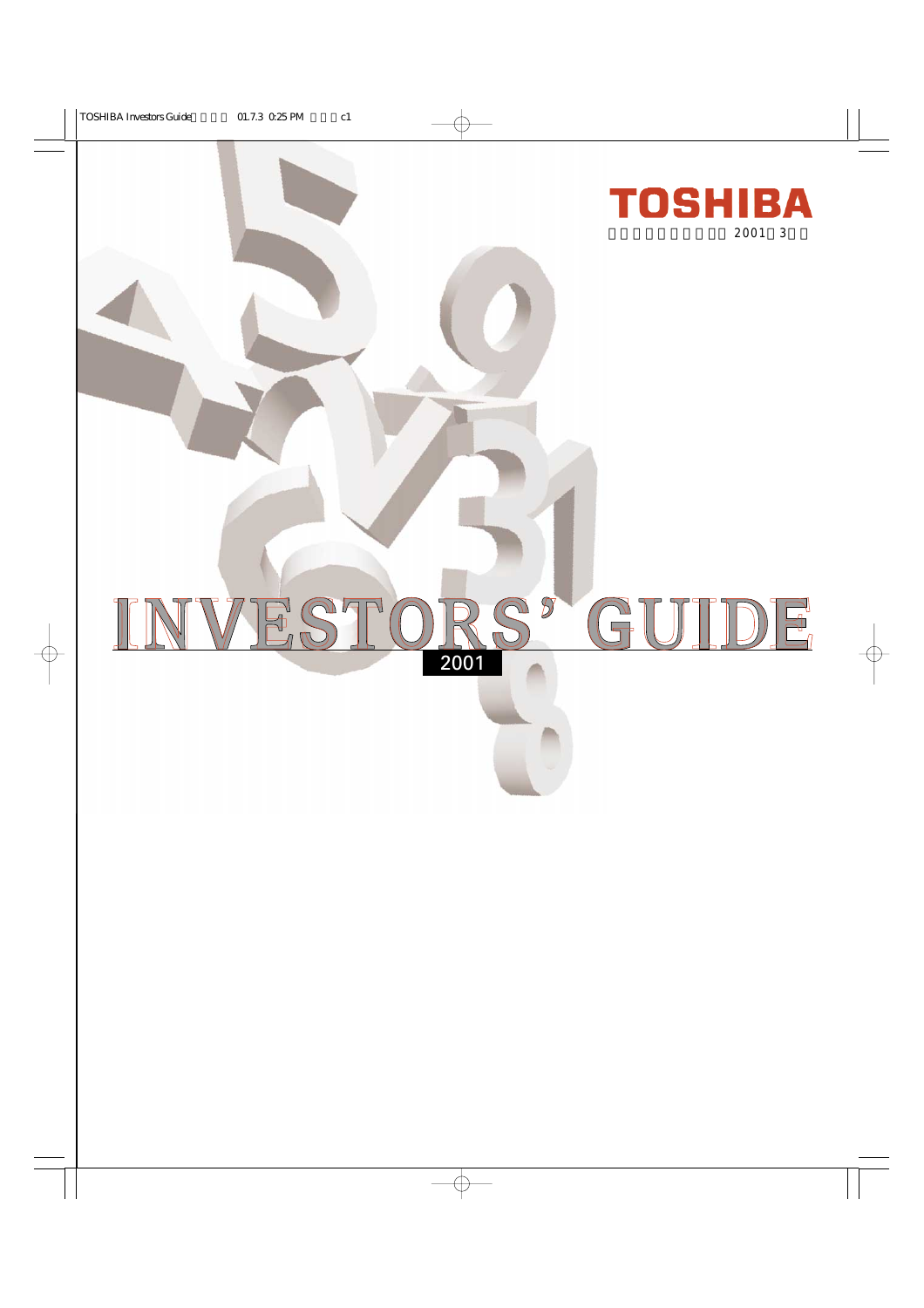

# VESTO  $\mathbb{S}^{\mathfrak{p}}$ GI JT DE 2001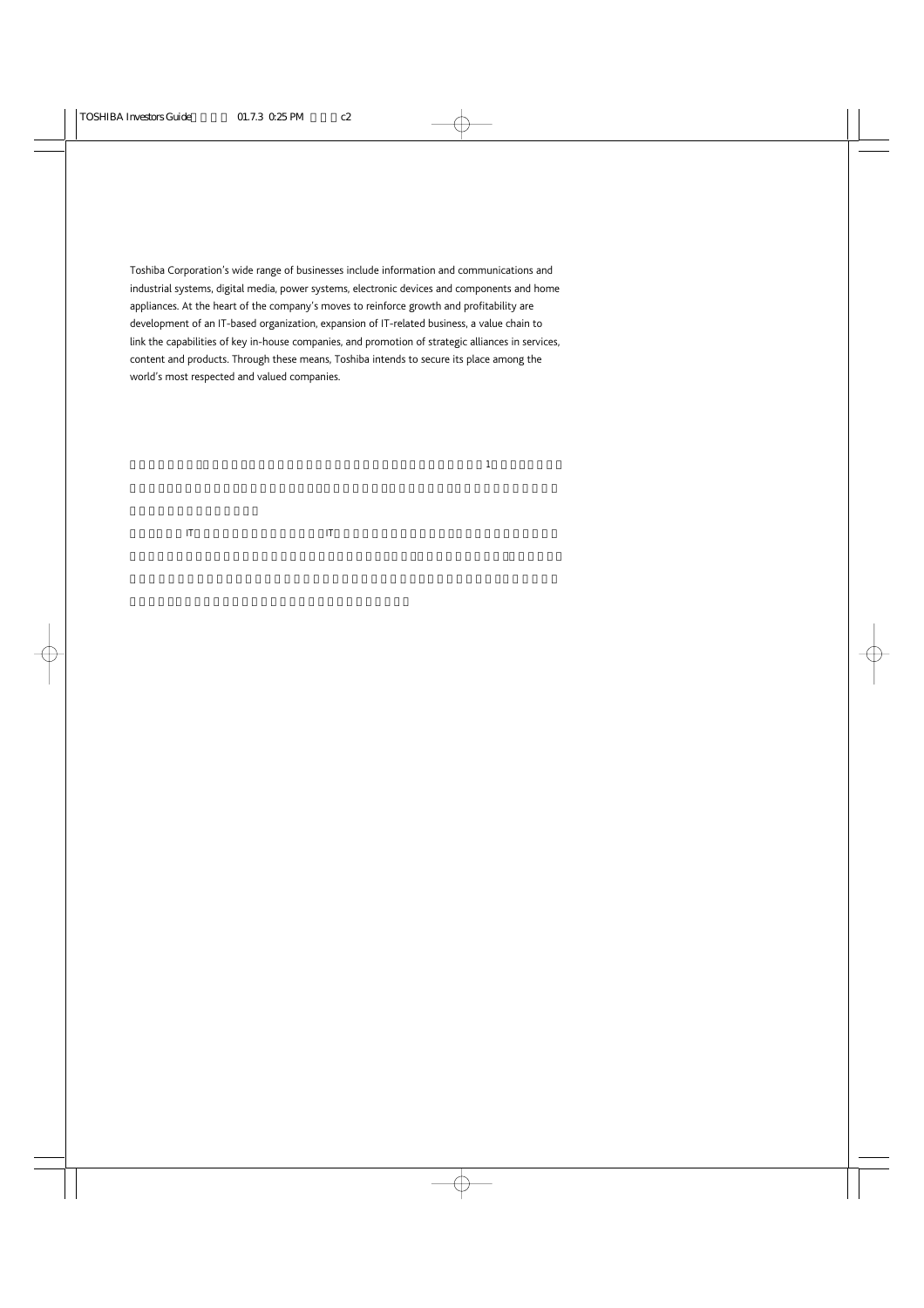Toshiba Corporation's wide range of businesses include information and communications and industrial systems, digital media, power systems, electronic devices and components and home appliances. At the heart of the company's moves to reinforce growth and profitability are development of an IT-based organization, expansion of IT-related business, a value chain to link the capabilities of key in-house companies, and promotion of strategic alliances in services, content and products. Through these means, Toshiba intends to secure its place among the world's most respected and valued companies.

 $\frac{1}{\sqrt{1-\frac{1}{\sqrt{1-\frac{1}{\sqrt{1-\frac{1}{\sqrt{1-\frac{1}{\sqrt{1-\frac{1}{\sqrt{1-\frac{1}{\sqrt{1-\frac{1}{\sqrt{1-\frac{1}{\sqrt{1-\frac{1}{\sqrt{1-\frac{1}{\sqrt{1-\frac{1}{\sqrt{1-\frac{1}{\sqrt{1-\frac{1}{\sqrt{1-\frac{1}{\sqrt{1-\frac{1}{\sqrt{1-\frac{1}{\sqrt{1-\frac{1}{\sqrt{1-\frac{1}{\sqrt{1-\frac{1}{\sqrt{1-\frac{1}{\sqrt{1-\frac{1}{\sqrt{1-\frac{1}{\sqrt{1-\frac{1}{\sqrt{1-\frac{1$ 

 $\mathbf{H}$  it is expected in the lattice  $\mathbf{H}$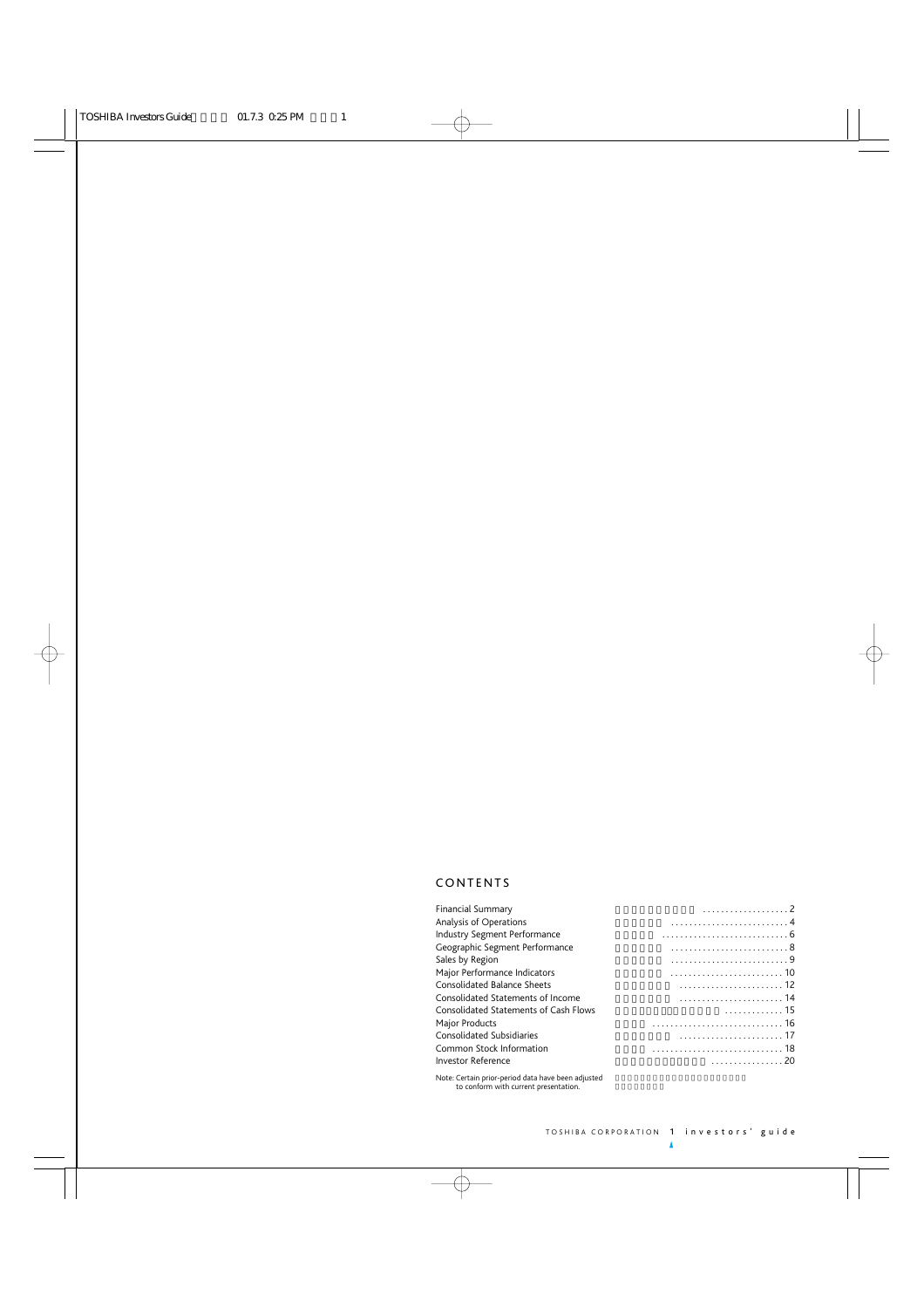# CONTENTS

| <b>Financial Summary</b>                                   |             |
|------------------------------------------------------------|-------------|
| Analysis of Operations                                     |             |
| Industry Segment Performance                               |             |
| Geographic Segment Performance                             |             |
| Sales by Region                                            |             |
| Major Performance Indicators                               |             |
| <b>Consolidated Balance Sheets</b>                         |             |
| Consolidated Statements of Income                          |             |
| Consolidated Statements of Cash Flows                      | $\cdots$ 15 |
| Major Products                                             |             |
| Consolidated Subsidiaries                                  |             |
| Common Stock Information                                   |             |
| <b>Investor Reference</b>                                  | . 20        |
| Alban Complete anticoperated discussions because discussed |             |

Note: Certain prior-period data have been adjusted to conform with current presentation.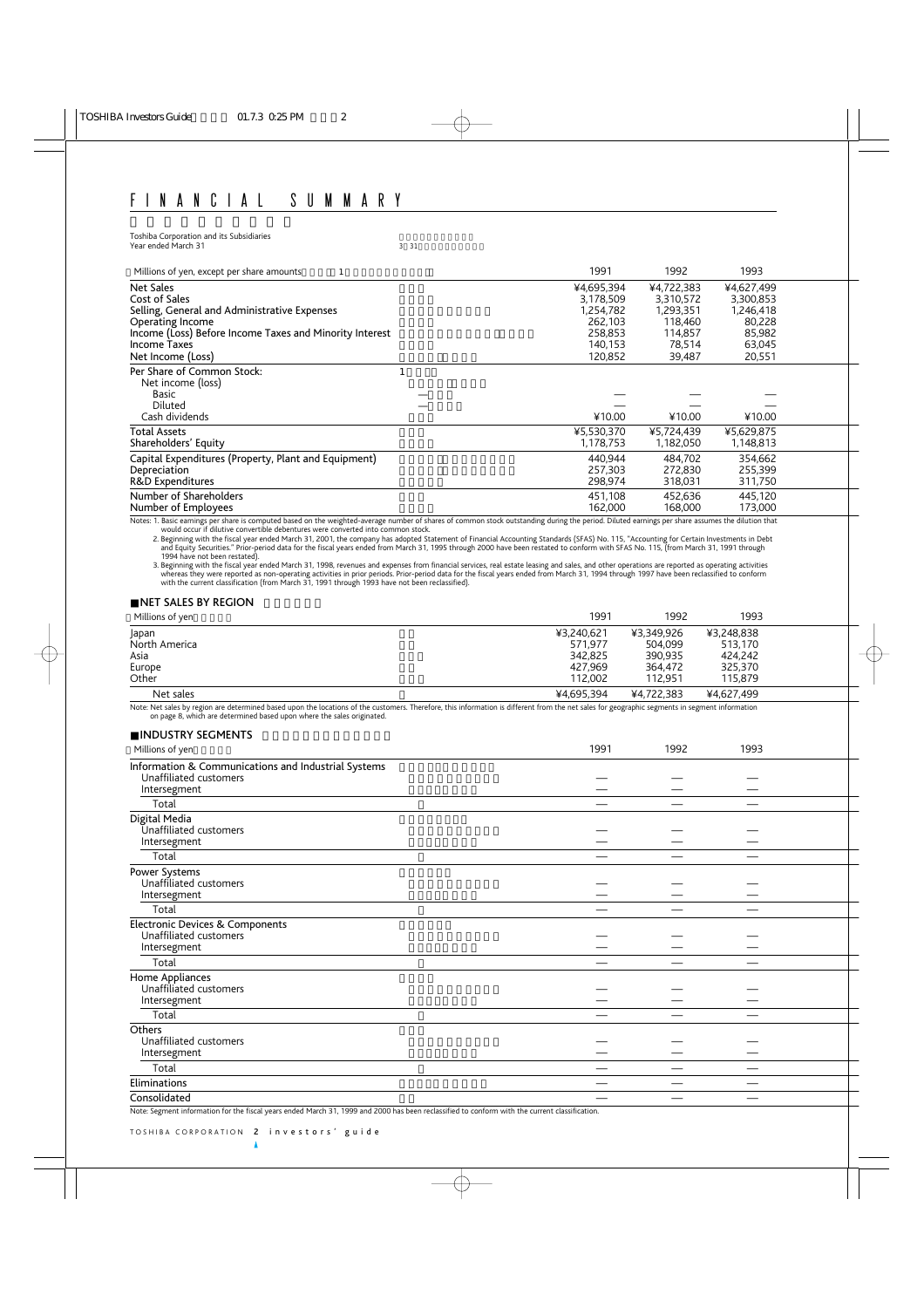Toshiba Corporation and its Subsidiaries<br>
Year ended March 31 (2008) 33 (31 (2008) 34 (31 (32 (32 (33 ) 35 (32 ) 35 (32 ) 35 (32 ) 35 (32 ) 35 (32 ) 35 Year ended March 31

| Millions of yen, except per share amounts                                             | 1991       | 1992       | 1993       |  |
|---------------------------------------------------------------------------------------|------------|------------|------------|--|
| <b>Net Sales</b>                                                                      | ¥4,695,394 | ¥4,722,383 | ¥4,627,499 |  |
| Cost of Sales                                                                         | 3,178,509  | 3,310,572  | 3,300,853  |  |
| Selling, General and Administrative Expenses                                          | 1,254,782  | 1,293,351  | 1,246,418  |  |
| <b>Operating Income</b>                                                               | 262.103    | 118,460    | 80,228     |  |
| Income (Loss) Before Income Taxes and Minority Interest                               | 258,853    | 114,857    | 85,982     |  |
| Income Taxes                                                                          | 140,153    | 78,514     | 63,045     |  |
| Net Income (Loss)                                                                     | 120,852    | 39,487     | 20,551     |  |
| Per Share of Common Stock:<br>Net income (loss)<br>Basic<br>Diluted<br>Cash dividends | ¥10.00     | ¥10.00     | ¥10.00     |  |
| <b>Total Assets</b>                                                                   | ¥5,530,370 | ¥5,724,439 | ¥5,629,875 |  |
| Shareholders' Equity                                                                  | 1,178,753  | 1,182,050  | 1,148,813  |  |
| Capital Expenditures (Property, Plant and Equipment)                                  | 440.944    | 484,702    | 354,662    |  |
| Depreciation                                                                          | 257.303    | 272,830    | 255,399    |  |
| R&D Expenditures                                                                      | 298,974    | 318,031    | 311,750    |  |
| Number of Shareholders                                                                | 451.108    | 452.636    | 445,120    |  |
| Number of Employees                                                                   | 162,000    | 168.000    | 173,000    |  |

Notes: 1. Basic earnings per share is computed based on the weighted-average number of shares of common stock outstanding during the period. Diluted earnings per share assumes the dilution that<br>would occur if dilutive conv

2. Beginning with the fiscal year ended March 31, 2001, the company has adopted Statement of Financial Accounting Standards (SFAS) No. 115, "Accounting for Certain Investments in Debt<br>and Equity Securities." Prior-period d

3. Beginning with the fiscal year ended March 31, 1998, revenues and expenses from financial services, real estate leasing and sales, and other operations are reported as operating activities whereas they were reported as

# **NET SALES BY REGION**

| Millions of yen | 1991       | 1992       | 1993       |  |
|-----------------|------------|------------|------------|--|
| Japan           | ¥3.240.621 | ¥3.349.926 | ¥3,248,838 |  |
| North America   | 571.977    | 504,099    | 513,170    |  |
| Asia            | 342.825    | 390,935    | 424.242    |  |
| Europe          | 427.969    | 364.472    | 325.370    |  |
| Other           | 112.002    | 112.951    | 115,879    |  |
| Net sales       | ¥4.695.394 | ¥4.722.383 | ¥4.627.499 |  |

Note: Net sales by region are determined based upon the locations of the customers. Therefore, this information is different from the net sales for geographic segments in segment information on page 8, which are determined based upon where the sales originated.

| <b>INDUSTRY SEGMENTS</b>                                                                      |      |      |      |  |
|-----------------------------------------------------------------------------------------------|------|------|------|--|
| Millions of yen                                                                               | 1991 | 1992 | 1993 |  |
| Information & Communications and Industrial Systems<br>Unaffiliated customers<br>Intersegment |      |      |      |  |
| Total                                                                                         |      |      |      |  |
| Digital Media<br>Unaffiliated customers<br>Intersegment                                       |      |      |      |  |
| Total                                                                                         |      |      |      |  |
| Power Systems<br>Unaffiliated customers<br>Intersegment                                       |      |      |      |  |
| Total                                                                                         |      |      |      |  |
| Electronic Devices & Components<br>Unaffiliated customers<br>Intersegment                     |      |      |      |  |
| Total                                                                                         |      |      |      |  |
| Home Appliances<br>Unaffiliated customers<br>Intersegment                                     |      |      |      |  |
| Total                                                                                         |      |      |      |  |
| Others<br>Unaffiliated customers<br>Intersegment                                              |      |      |      |  |
| Total                                                                                         |      |      |      |  |
| Eliminations                                                                                  |      |      |      |  |
| Consolidated                                                                                  |      |      |      |  |

Note: Segment information for the fiscal years ended March 31, 1999 and 2000 has been reclassified to conform with the current classification.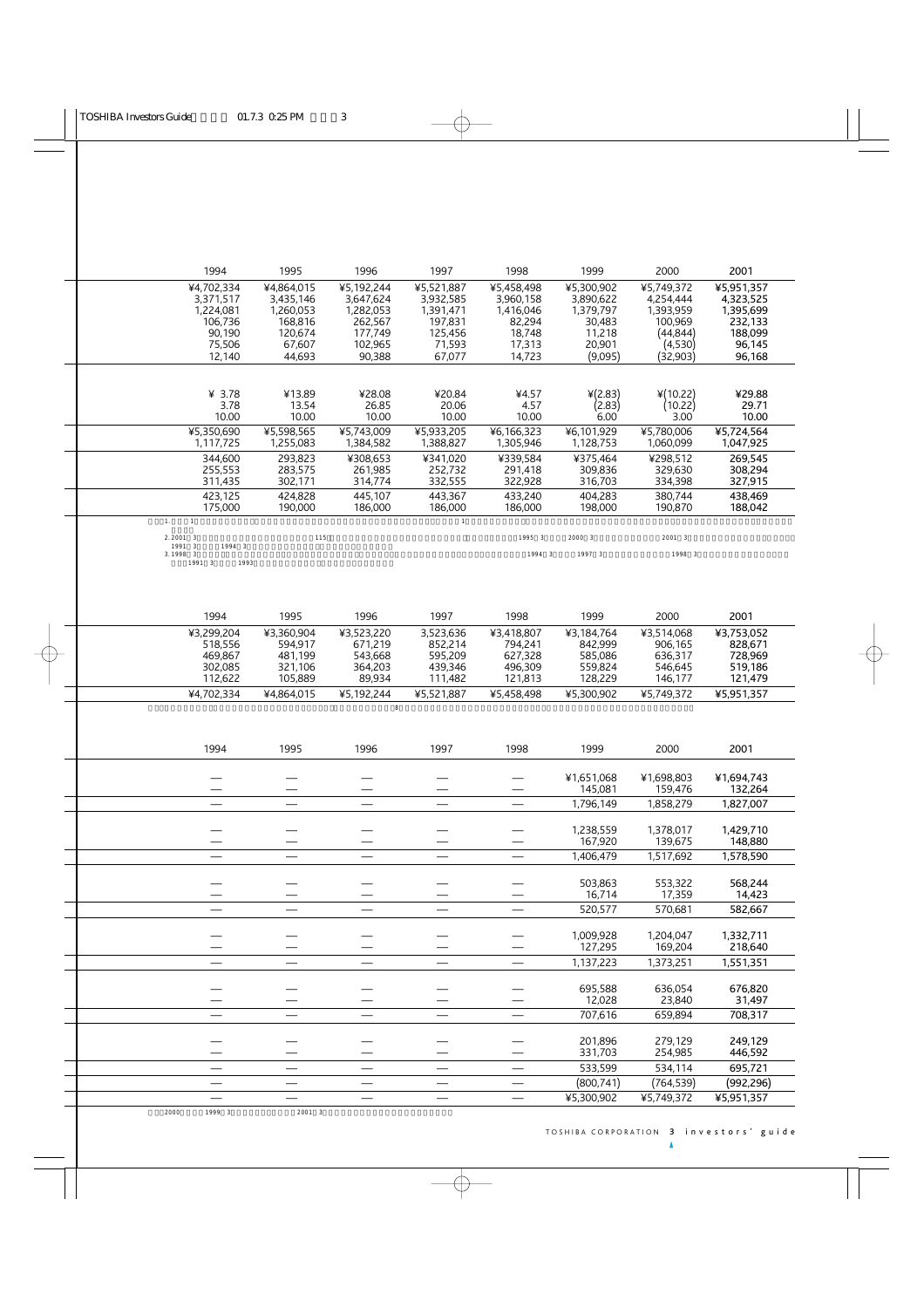| 1994                                                                                    | 1995                                                                           | 1996                                                                            | 1997                                                                           | 1998                                                                         | 1999                                                                          | 2000                                                                                | 2001                                                                           |
|-----------------------------------------------------------------------------------------|--------------------------------------------------------------------------------|---------------------------------------------------------------------------------|--------------------------------------------------------------------------------|------------------------------------------------------------------------------|-------------------------------------------------------------------------------|-------------------------------------------------------------------------------------|--------------------------------------------------------------------------------|
| ¥4,702,334<br>3,371,517<br>1,224,081<br>106.736<br>90,190<br>75,506<br>12,140           | ¥4,864,015<br>3,435,146<br>1,260,053<br>168.816<br>120,674<br>67,607<br>44,693 | ¥5,192,244<br>3,647,624<br>1,282,053<br>262,567<br>177,749<br>102,965<br>90,388 | ¥5,521,887<br>3,932,585<br>1,391,471<br>197.831<br>125,456<br>71,593<br>67,077 | ¥5,458,498<br>3,960,158<br>1,416,046<br>82.294<br>18,748<br>17,313<br>14,723 | ¥5,300,902<br>3,890,622<br>1,379,797<br>30.483<br>11,218<br>20,901<br>(9,095) | ¥5,749,372<br>4,254,444<br>1,393,959<br>100.969<br>(44, 844)<br>(4,530)<br>(32,903) | ¥5,951,357<br>4,323,525<br>1,395,699<br>232,133<br>188,099<br>96,145<br>96,168 |
| ¥ $3.78$<br>3.78<br>10.00                                                               | ¥13.89<br>13.54<br>10.00                                                       | ¥28.08<br>26.85<br>10.00                                                        | ¥20.84<br>20.06<br>10.00                                                       | ¥4.57<br>4.57<br>10.00                                                       | $*(2.83)$<br>(2.83)<br>6.00                                                   | ¥(10.22)<br>(10.22)<br>3.00                                                         | ¥29.88<br>29.71<br>10.00                                                       |
| ¥5,350,690<br>1,117,725                                                                 | ¥5.598.565<br>1,255,083                                                        | ¥5.743.009<br>1,384,582                                                         | ¥5.933.205<br>1,388,827                                                        | ¥6,166,323<br>1,305,946                                                      | ¥6,101,929<br>1,128,753                                                       | ¥5.780.006<br>1,060,099                                                             | ¥5,724,564<br>1,047,925                                                        |
| 344,600<br>255,553<br>311,435                                                           | 293,823<br>283,575<br>302,171                                                  | ¥308,653<br>261,985<br>314,774                                                  | ¥341,020<br>252,732<br>332,555                                                 | ¥339.584<br>291,418<br>322,928                                               | ¥375,464<br>309.836<br>316,703                                                | ¥298,512<br>329.630<br>334,398                                                      | 269,545<br>308,294<br>327,915                                                  |
| 423,125<br>175,000                                                                      | 424.828<br>190,000                                                             | 445,107<br>186,000                                                              | 443.367<br>186,000                                                             | 433.240<br>186,000                                                           | 404.283<br>198.000                                                            | 380.744<br>190,870                                                                  | 438.469<br>188,042                                                             |
| 1.<br>$\mathbf{1}$                                                                      |                                                                                |                                                                                 | $\mathbf{1}$                                                                   |                                                                              |                                                                               |                                                                                     |                                                                                |
| $2.2001 \t3$<br>1991 3<br>1994 3<br>3.1998<br>$\overline{\mathbf{3}}$<br>1991 3<br>1993 | 115                                                                            |                                                                                 |                                                                                | 1995 3<br>1994 3                                                             | 2000 3<br>1997 3                                                              | 2001 3<br>1998 3                                                                    |                                                                                |
| 1994                                                                                    | 1995                                                                           | 1996                                                                            | 1997                                                                           | 1998                                                                         | 1999                                                                          | 2000                                                                                | 2001                                                                           |
| ¥3,299,204<br>518,556<br>469,867<br>302,085<br>112,622                                  | ¥3,360,904<br>594,917<br>481,199<br>321,106<br>105,889                         | ¥3,523,220<br>671,219<br>543,668<br>364,203<br>89,934                           | 3,523,636<br>852,214<br>595,209<br>439,346<br>111,482                          | ¥3,418,807<br>794,241<br>627,328<br>496,309<br>121,813                       | ¥3,184,764<br>842.999<br>585,086<br>559,824<br>128,229                        | ¥3,514,068<br>906,165<br>636,317<br>546,645<br>146,177                              | ¥3,753,052<br>828,671<br>728,969<br>519,186<br>121,479                         |
| ¥4,702,334                                                                              | ¥4,864,015                                                                     | ¥5,192,244                                                                      | ¥5,521,887                                                                     | ¥5,458,498                                                                   | ¥5,300,902                                                                    | ¥5,749,372                                                                          | ¥5,951,357                                                                     |
| 1994                                                                                    | 1995                                                                           | $\,$ 8 $\,$<br>1996                                                             | 1997                                                                           | 1998                                                                         | 1999                                                                          | 2000                                                                                | 2001                                                                           |
|                                                                                         |                                                                                |                                                                                 |                                                                                |                                                                              | ¥1,651,068<br>145,081                                                         | ¥1,698,803<br>159,476                                                               | ¥1,694,743<br>132,264                                                          |
|                                                                                         |                                                                                |                                                                                 |                                                                                |                                                                              | 1,796,149                                                                     | 1,858,279                                                                           | 1,827,007                                                                      |
|                                                                                         |                                                                                |                                                                                 |                                                                                |                                                                              | 1,238,559<br>167,920                                                          | 1,378,017<br>139,675                                                                | 1,429,710<br>148,880                                                           |
|                                                                                         |                                                                                |                                                                                 |                                                                                |                                                                              | 1,406,479                                                                     | 1,517,692                                                                           | 1,578,590                                                                      |
|                                                                                         |                                                                                |                                                                                 |                                                                                |                                                                              |                                                                               |                                                                                     |                                                                                |
|                                                                                         |                                                                                |                                                                                 |                                                                                |                                                                              | 503,863<br>16,714<br>520,577                                                  | 553,322<br>17,359<br>570,681                                                        | 568,244<br>14,423<br>582,667                                                   |

|      |        |        |  | 1,009,928  | 1,204,047  | 1,332,711  |  |
|------|--------|--------|--|------------|------------|------------|--|
|      |        |        |  | 127,295    | 169,204    | 218,640    |  |
|      |        |        |  | 1,137,223  | 1,373,251  | 1,551,351  |  |
|      |        |        |  |            |            |            |  |
|      |        |        |  | 695,588    | 636,054    | 676,820    |  |
|      |        |        |  | 12,028     | 23,840     | 31,497     |  |
|      |        |        |  | 707,616    | 659,894    | 708,317    |  |
|      |        |        |  |            |            |            |  |
|      |        |        |  | 201,896    | 279,129    | 249,129    |  |
|      |        |        |  | 331,703    | 254,985    | 446,592    |  |
|      |        |        |  | 533,599    | 534,114    | 695,721    |  |
|      |        |        |  | (800, 741) | (764, 539) | (992, 296) |  |
|      |        |        |  | ¥5,300,902 | ¥5,749,372 | ¥5,951,357 |  |
| 2000 | 1999 3 | 2001 3 |  |            |            |            |  |
|      |        |        |  |            |            |            |  |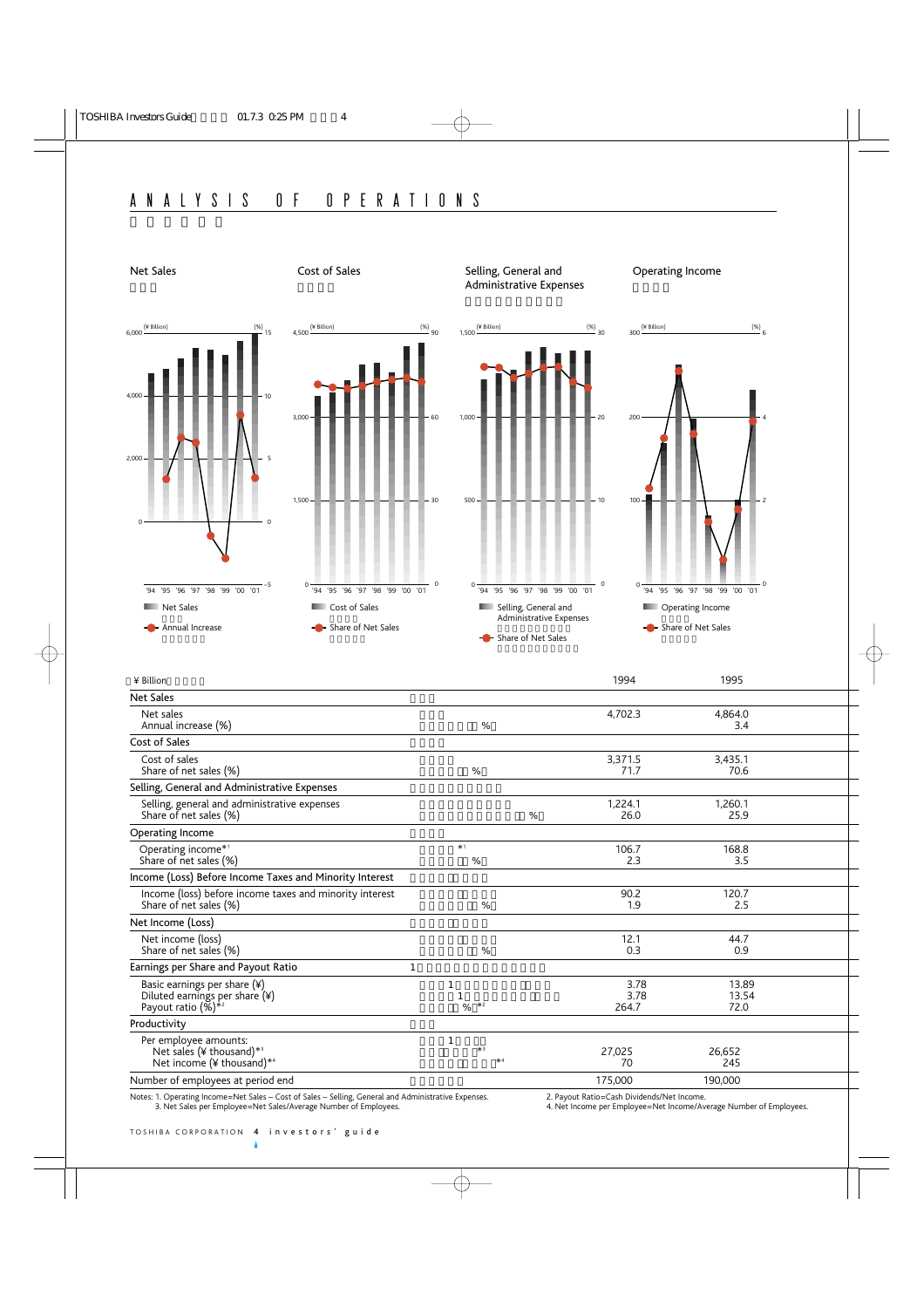

| ¥ Billion                                                                                                  |                              | 1994                  | 1995                   |  |
|------------------------------------------------------------------------------------------------------------|------------------------------|-----------------------|------------------------|--|
| <b>Net Sales</b>                                                                                           |                              |                       |                        |  |
| Net sales<br>Annual increase (%)                                                                           | %                            | 4,702.3               | 4,864.0<br>3.4         |  |
| Cost of Sales                                                                                              |                              |                       |                        |  |
| Cost of sales<br>Share of net sales (%)                                                                    | %                            | 3,371.5<br>71.7       | 3,435.1<br>70.6        |  |
| Selling, General and Administrative Expenses                                                               |                              |                       |                        |  |
| Selling, general and administrative expenses<br>Share of net sales (%)                                     | %                            | 1,224.1<br>26.0       | 1,260.1<br>25.9        |  |
| Operating Income                                                                                           |                              |                       |                        |  |
| Operating income* <sup>1</sup><br>Share of net sales (%)                                                   | $*1$<br>%                    | 106.7<br>2.3          | 168.8<br>3.5           |  |
| Income (Loss) Before Income Taxes and Minority Interest                                                    |                              |                       |                        |  |
| Income (loss) before income taxes and minority interest<br>Share of net sales (%)                          | %                            | 90.2<br>1.9           | 120.7<br>2.5           |  |
| Net Income (Loss)                                                                                          |                              |                       |                        |  |
| Net income (loss)<br>Share of net sales (%)                                                                | %                            | 12.1<br>0.3           | 44.7<br>0.9            |  |
| Earnings per Share and Payout Ratio                                                                        | 1                            |                       |                        |  |
| Basic earnings per share (¥)<br>Diluted earnings per share (¥)<br>Payout ratio $(\%)^{*2}$                 | $\overline{1}$<br>$*2$<br>%  | 3.78<br>3.78<br>264.7 | 13.89<br>13.54<br>72.0 |  |
| Productivity                                                                                               |                              |                       |                        |  |
| Per employee amounts:<br>Net sales (¥ thousand) * <sup>3</sup><br>Net income $(*)$ thousand)* <sup>4</sup> | $\mathbf{1}$<br>$*3$<br>$*4$ | 27,025<br>70          | 26,652<br>245          |  |
| Number of employees at period end                                                                          |                              | 175,000               | 190,000                |  |

Notes: 1. Operating Income=Net Sales – Cost of Sales – Selling, General and Administrative Expenses. 2. Payout Ratio=Cash Dividends/Net Income.<br>2. Payout Ratio=Cash Dividends/Net Income. 2. Net Sales per Employee=Net Sales

4. Net Income per Employee=Net Income/Average Number of Employees.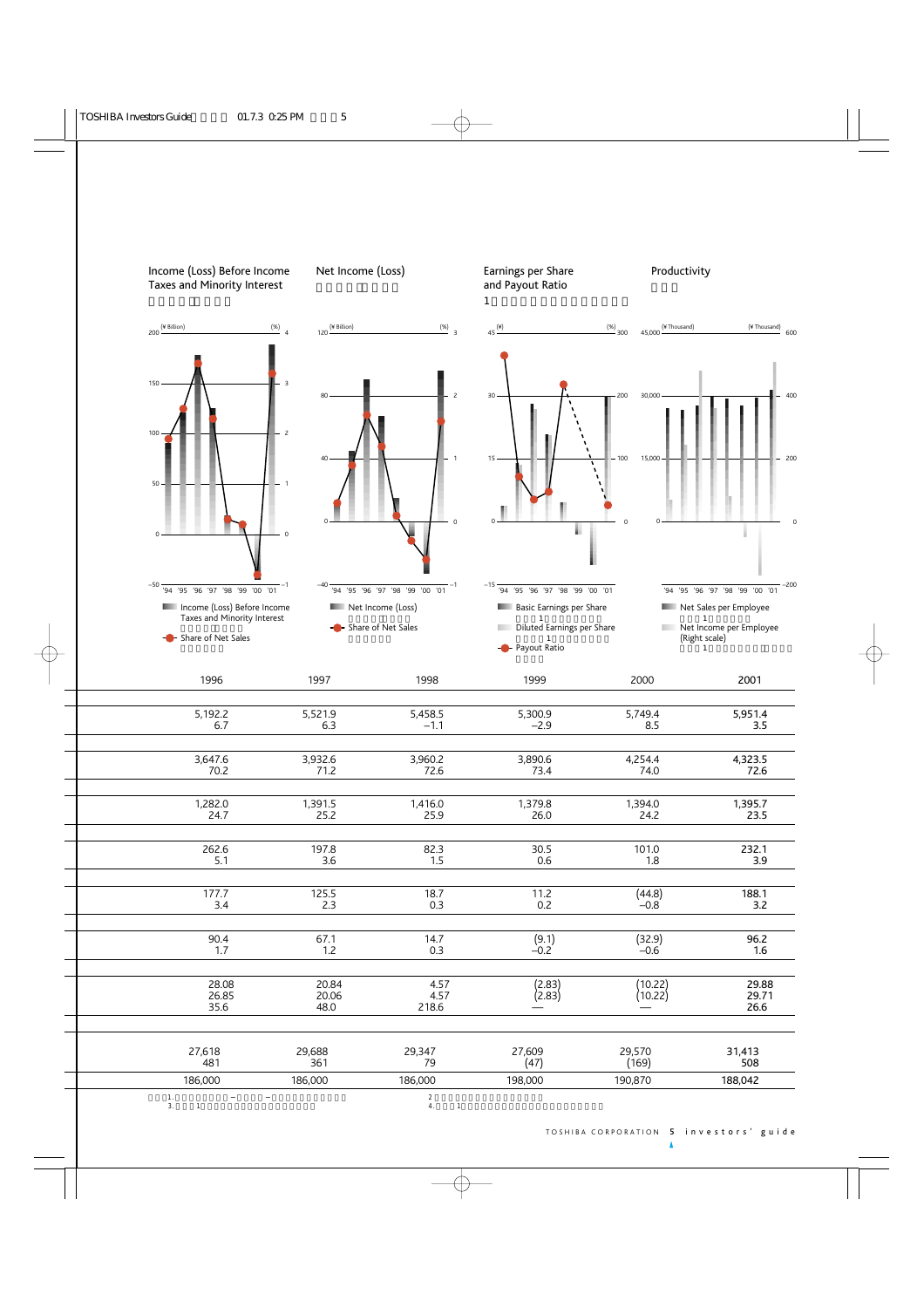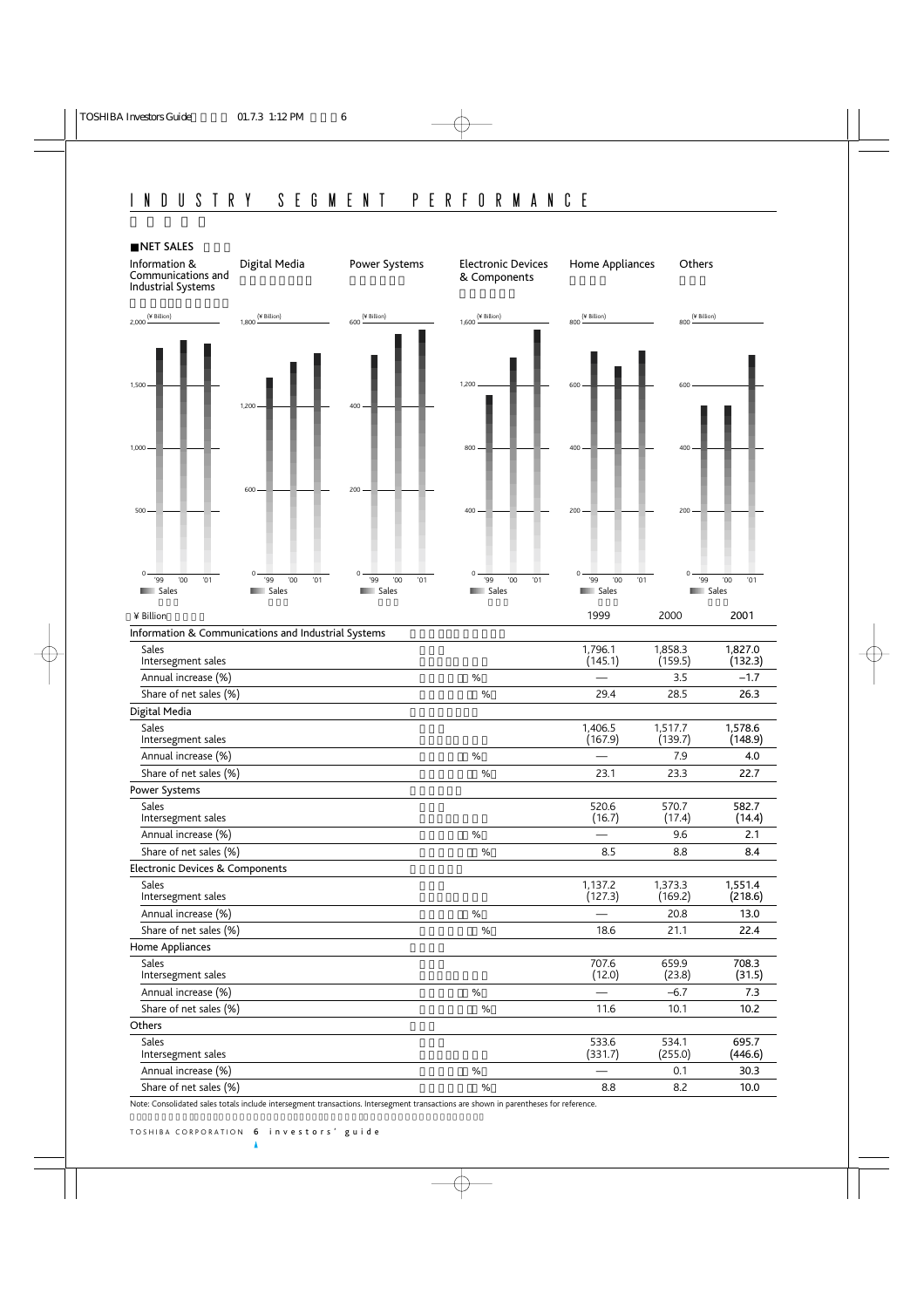

Share of net sales (%) 8.8 8.2 10.0

Note: Consolidated sales totals include intersegment transactions. Intersegment transactions are shown in parentheses for reference.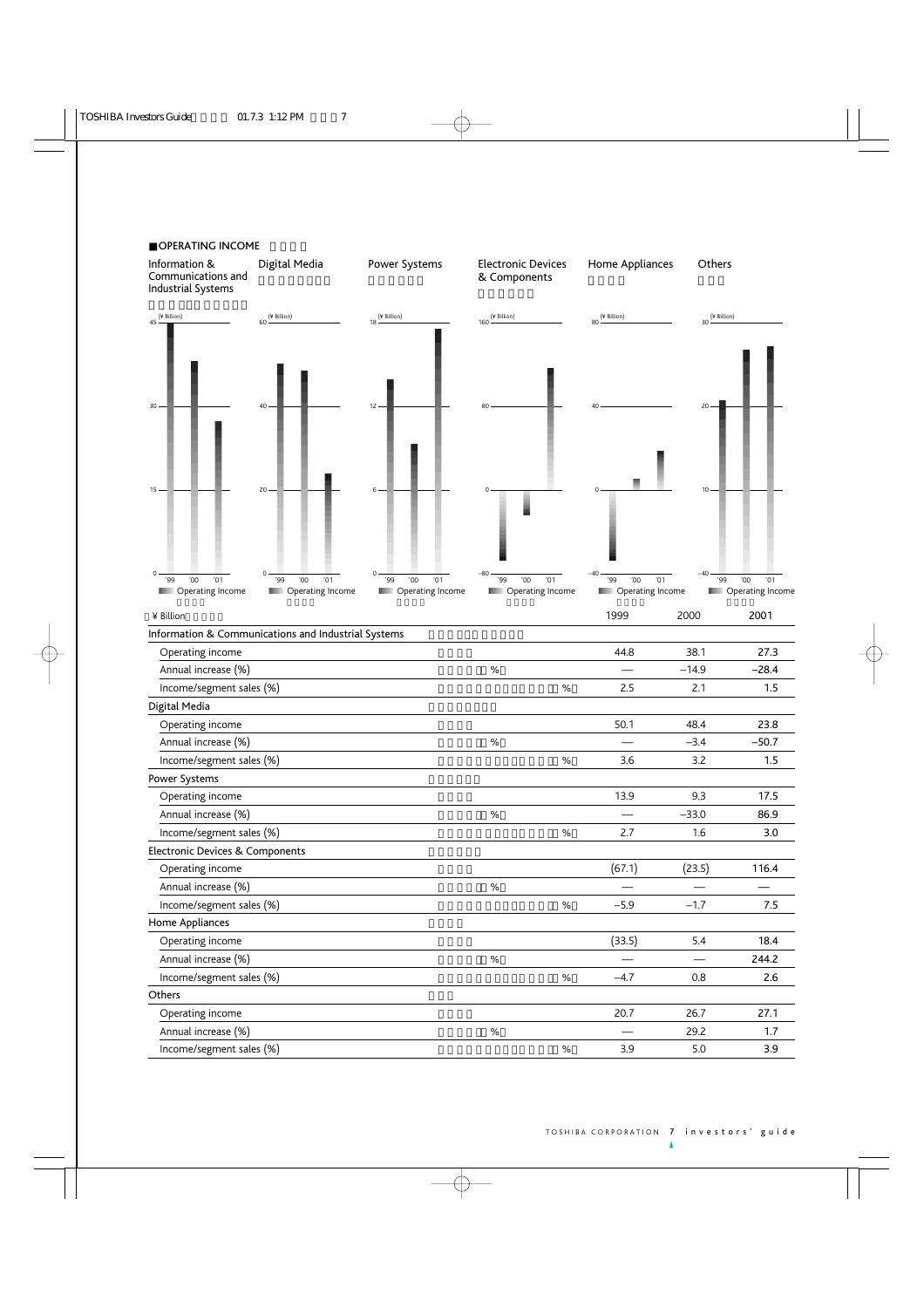

### TOSHIBA CORPORATION 7 investors' guide

Δ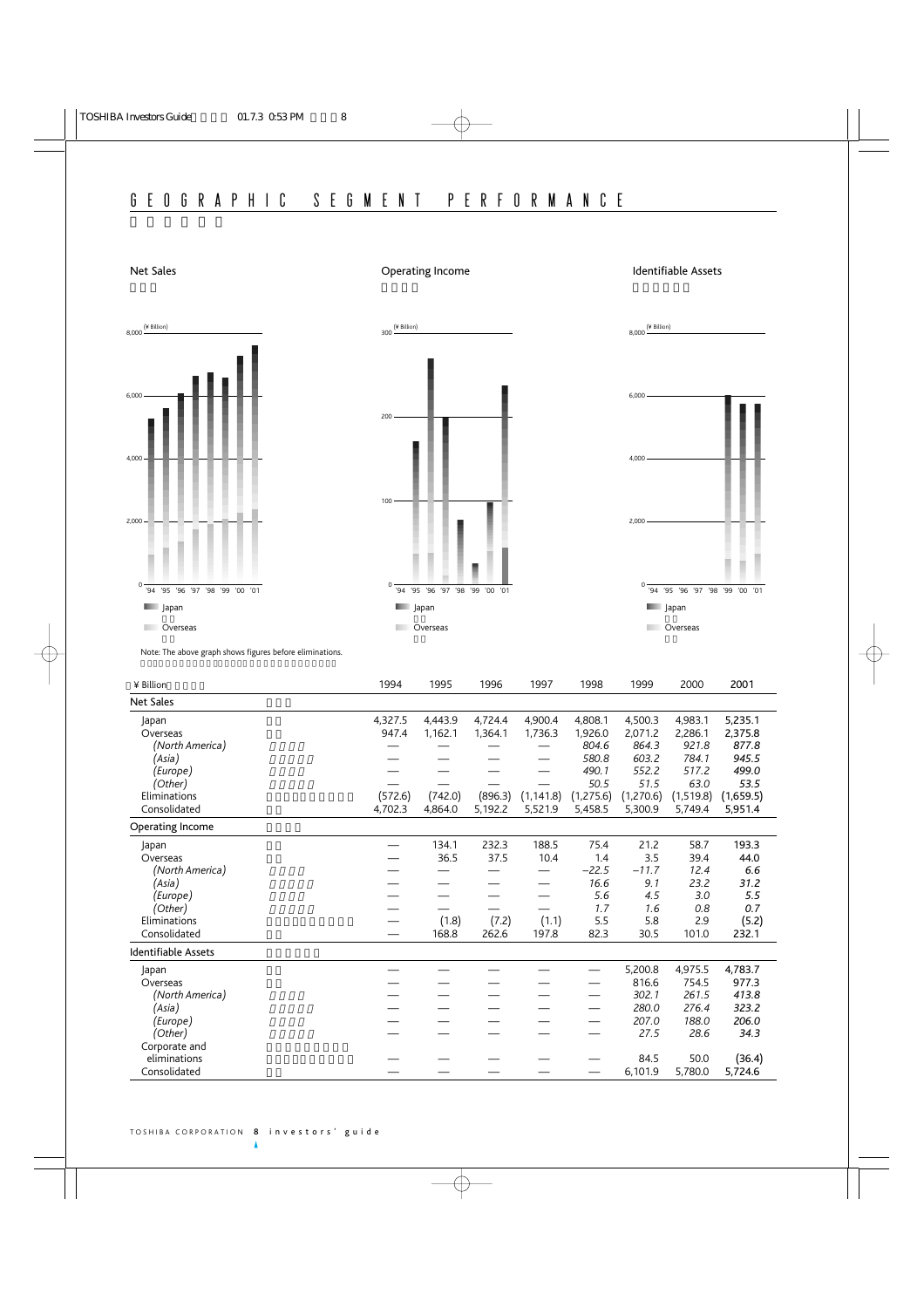# Net Sales

# Operating Income

### Identifiable Assets

8,000 (¥ Billion)







Note: The above graph shows figures before eliminations.

| ¥ Billion           | 1994    | 1995    | 1996    | 1997       | 1998      | 1999      | 2000       | 2001      |
|---------------------|---------|---------|---------|------------|-----------|-----------|------------|-----------|
| <b>Net Sales</b>    |         |         |         |            |           |           |            |           |
| Japan               | 4,327.5 | 4,443.9 | 4,724.4 | 4,900.4    | 4,808.1   | 4,500.3   | 4,983.1    | 5,235.1   |
| Overseas            | 947.4   | 1,162.1 | 1,364.1 | 1,736.3    | 1,926.0   | 2,071.2   | 2,286.1    | 2,375.8   |
| (North America)     |         |         |         |            | 804.6     | 864.3     | 921.8      | 877.8     |
| (Asia)              |         |         |         |            | 580.8     | 603.2     | 784.1      | 945.5     |
| (Europe)            |         |         |         |            | 490.1     | 552.2     | 517.2      | 499.0     |
| (Other)             |         |         |         |            | 50.5      | 51.5      | 63.0       | 53.5      |
| Eliminations        | (572.6) | (742.0) | (896.3) | (1, 141.8) | (1,275.6) | (1,270.6) | (1, 519.8) | (1,659.5) |
| Consolidated        | 4,702.3 | 4,864.0 | 5,192.2 | 5,521.9    | 5,458.5   | 5,300.9   | 5,749.4    | 5,951.4   |
| Operating Income    |         |         |         |            |           |           |            |           |
| Japan               |         | 134.1   | 232.3   | 188.5      | 75.4      | 21.2      | 58.7       | 193.3     |
| Overseas            |         | 36.5    | 37.5    | 10.4       | 1.4       | 3.5       | 39.4       | 44.0      |
| (North America)     |         |         |         |            | $-22.5$   | $-11.7$   | 12.4       | 6.6       |
| (Asia)              |         |         |         |            | 16.6      | 9.1       | 23.2       | 31.2      |
| (Europe)            |         |         |         |            | 5.6       | 4.5       | 3.0        | 5.5       |
| (Other)             |         |         |         |            | 1.7       | 1.6       | 0.8        | 0.7       |
| Eliminations        |         | (1.8)   | (7.2)   | (1.1)      | 5.5       | 5.8       | 2.9        | (5.2)     |
| Consolidated        |         | 168.8   | 262.6   | 197.8      | 82.3      | 30.5      | 101.0      | 232.1     |
| Identifiable Assets |         |         |         |            |           |           |            |           |
| Japan               |         |         |         |            |           | 5,200.8   | 4,975.5    | 4,783.7   |
| Overseas            |         |         |         |            |           | 816.6     | 754.5      | 977.3     |
| (North America)     |         |         |         |            |           | 302.1     | 261.5      | 413.8     |
| (Asia)              |         |         |         |            |           | 280.0     | 276.4      | 323.2     |
| (Europe)            |         |         |         |            |           | 207.0     | 188.0      | 206.0     |
| (Other)             |         |         |         |            |           | 27.5      | 28.6       | 34.3      |
| Corporate and       |         |         |         |            |           |           |            |           |
| eliminations        |         |         |         |            |           | 84.5      | 50.0       | (36.4)    |
| Consolidated        |         |         |         |            |           | 6,101.9   | 5,780.0    | 5,724.6   |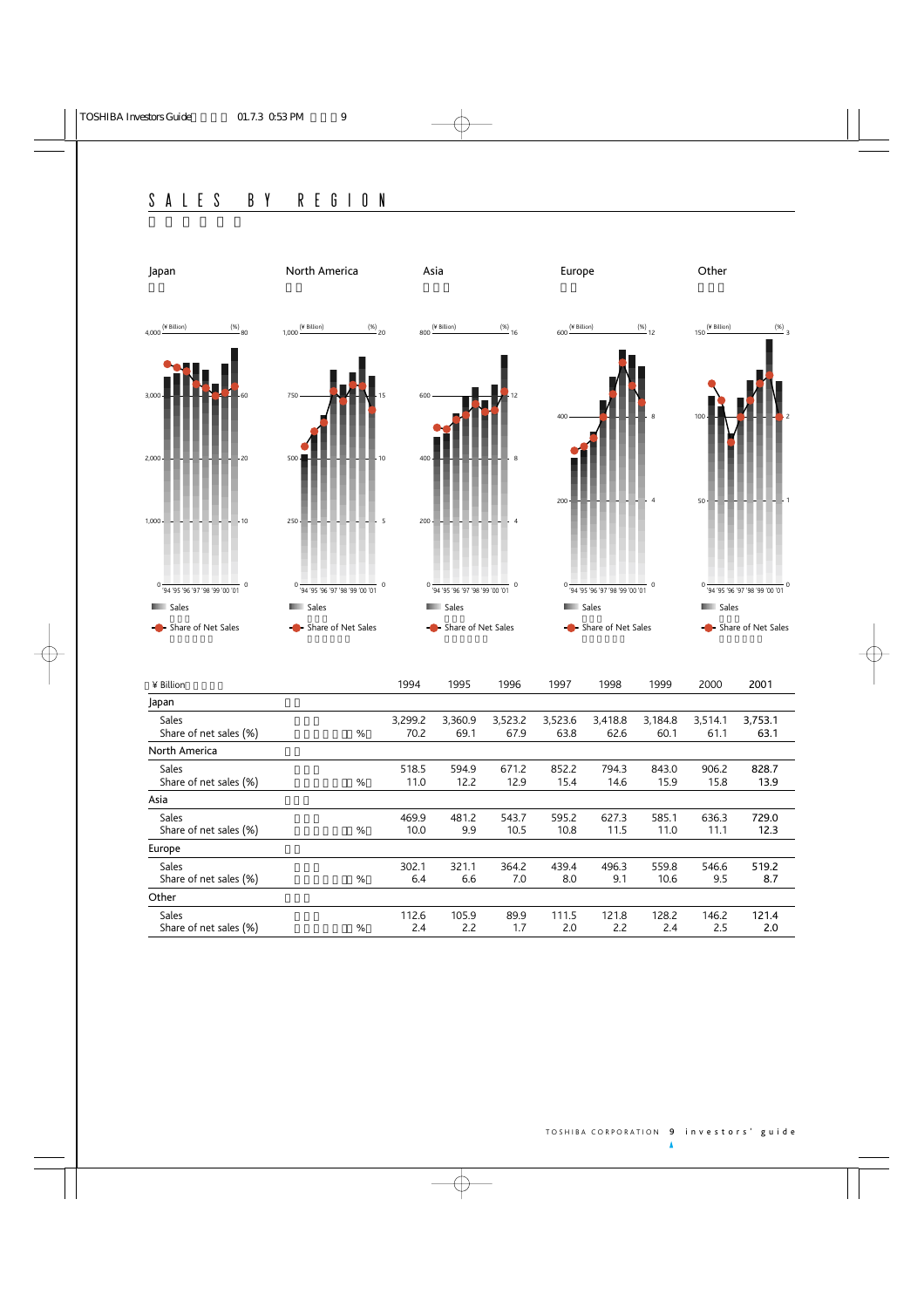

| ¥ Billion                      | 1994    | 1995    | 1996    | 1997    | 1998    | 1999    | 2000    | 2001    |
|--------------------------------|---------|---------|---------|---------|---------|---------|---------|---------|
| Japan                          |         |         |         |         |         |         |         |         |
| Sales                          | 3,299.2 | 3,360.9 | 3,523.2 | 3,523.6 | 3,418.8 | 3,184.8 | 3,514.1 | 3,753.1 |
| Share of net sales (%)<br>$\%$ | 70.2    | 69.1    | 67.9    | 63.8    | 62.6    | 60.1    | 61.1    | 63.1    |
| North America                  |         |         |         |         |         |         |         |         |
| Sales                          | 518.5   | 594.9   | 671.2   | 852.2   | 794.3   | 843.0   | 906.2   | 828.7   |
| Share of net sales (%)<br>%    | 11.0    | 12.2    | 12.9    | 15.4    | 14.6    | 15.9    | 15.8    | 13.9    |
| Asia                           |         |         |         |         |         |         |         |         |
| Sales                          | 469.9   | 481.2   | 543.7   | 595.2   | 627.3   | 585.1   | 636.3   | 729.0   |
| Share of net sales (%)<br>%    | 10.0    | 9.9     | 10.5    | 10.8    | 11.5    | 11.0    | 11.1    | 12.3    |
| Europe                         |         |         |         |         |         |         |         |         |
| Sales                          | 302.1   | 321.1   | 364.2   | 439.4   | 496.3   | 559.8   | 546.6   | 519.2   |
| Share of net sales (%)<br>%    | 6.4     | 6.6     | 7.0     | 8.0     | 9.1     | 10.6    | 9.5     | 8.7     |
| Other                          |         |         |         |         |         |         |         |         |
| Sales                          | 112.6   | 105.9   | 89.9    | 111.5   | 121.8   | 128.2   | 146.2   | 121.4   |
| Share of net sales (%)<br>%    | 2.4     | 2.2     | 1.7     | 2.0     | 2.2     | 2.4     | 2.5     | 2.0     |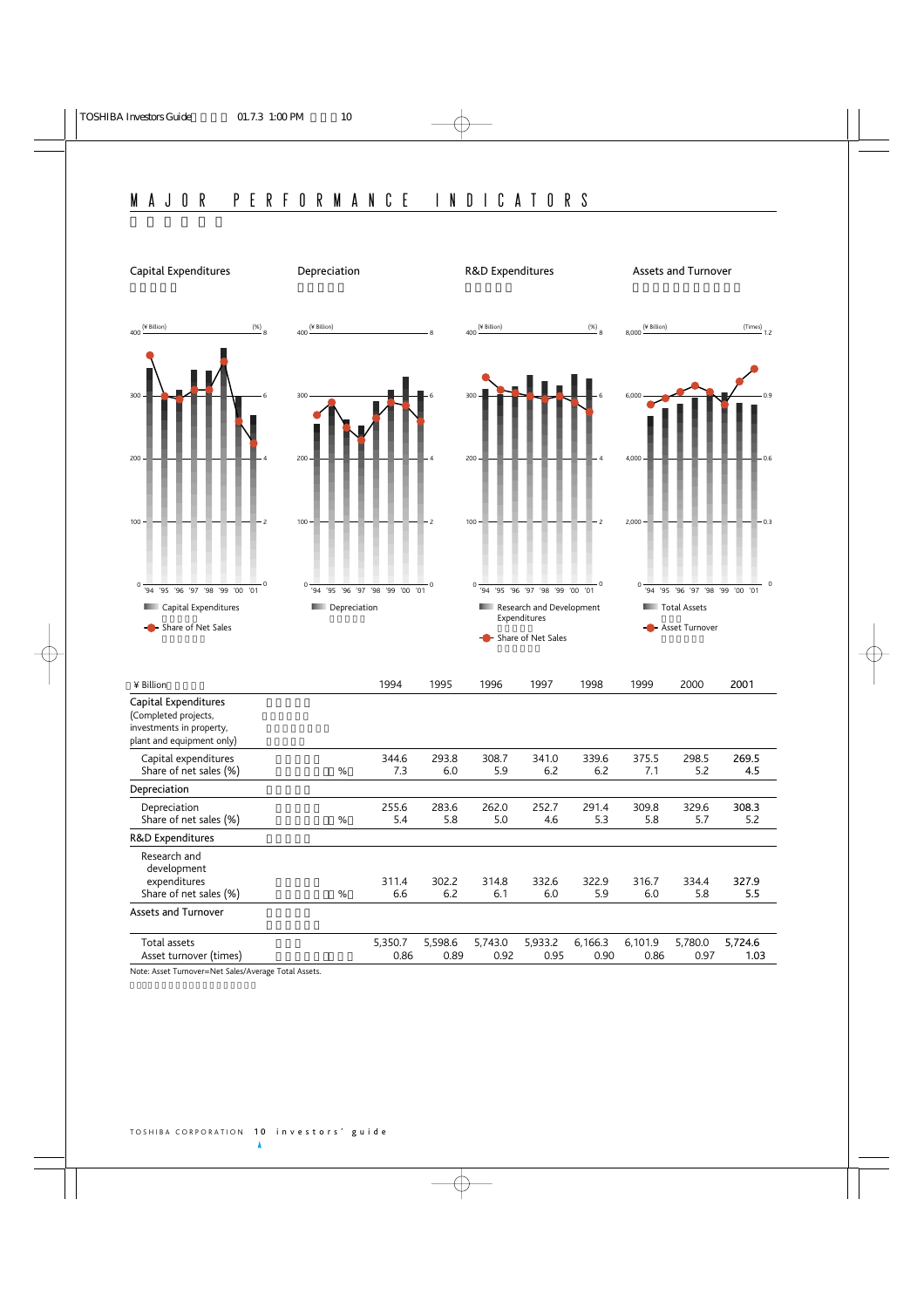

Note: Asset Turnover=Net Sales/Average Total Assets.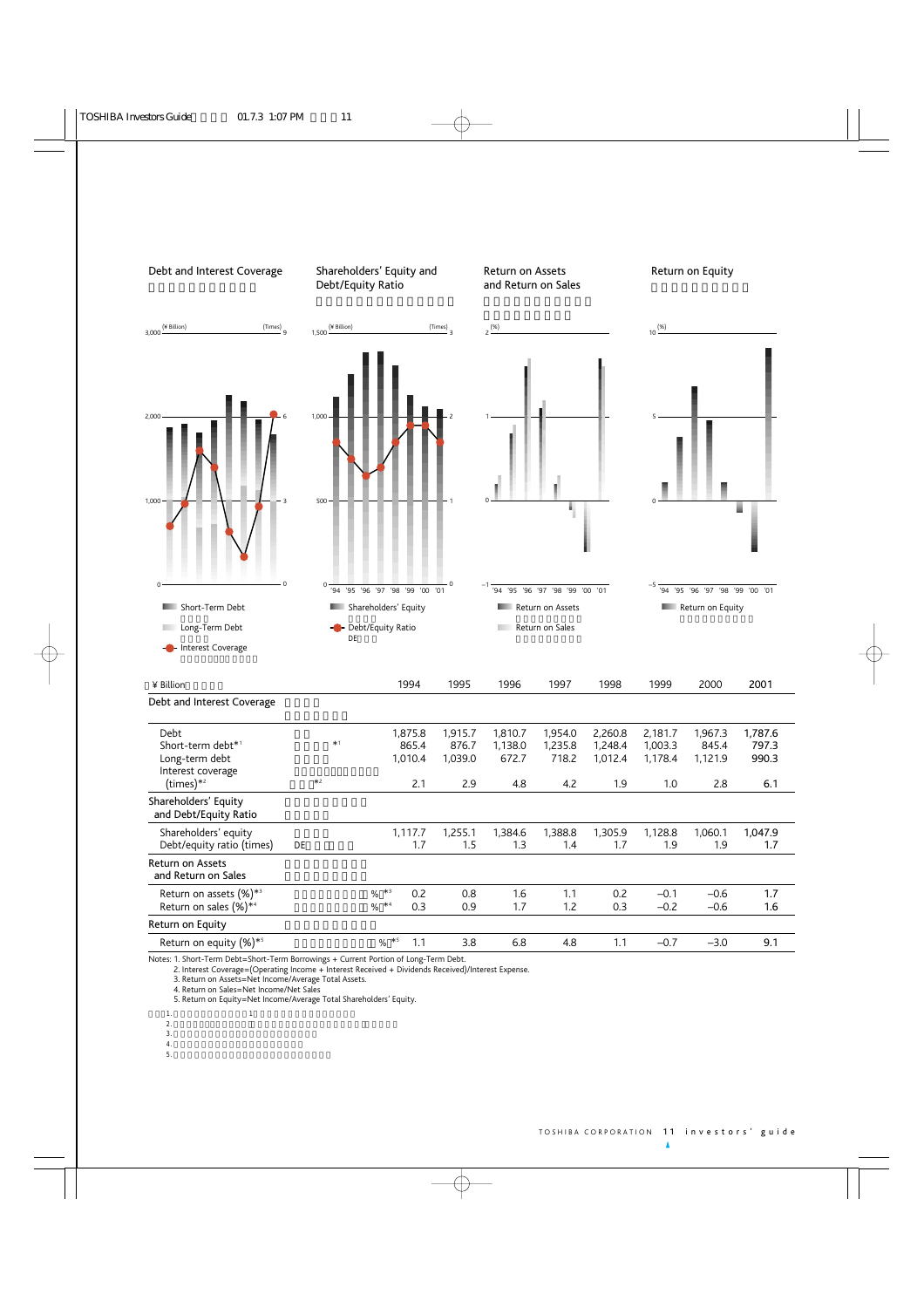

Notes: 1. Short-Term Debt=Short-Term Borrowings + Current Portion of Long-Term Debt.

2. Interest Coverage=(Operating Income + Interest Received + Dividends Received)/Interest Expense.

3. Return on Assets=Net Income/Average Total Assets.

4. Return on Sales=Net Income/Net Sales

5. Return on Equity=Net Income/Average Total Shareholders' Equity.

- $1.$   $1.$ 
	-

 $2.$ 

- $3.$  $4.$
- 
- $5.$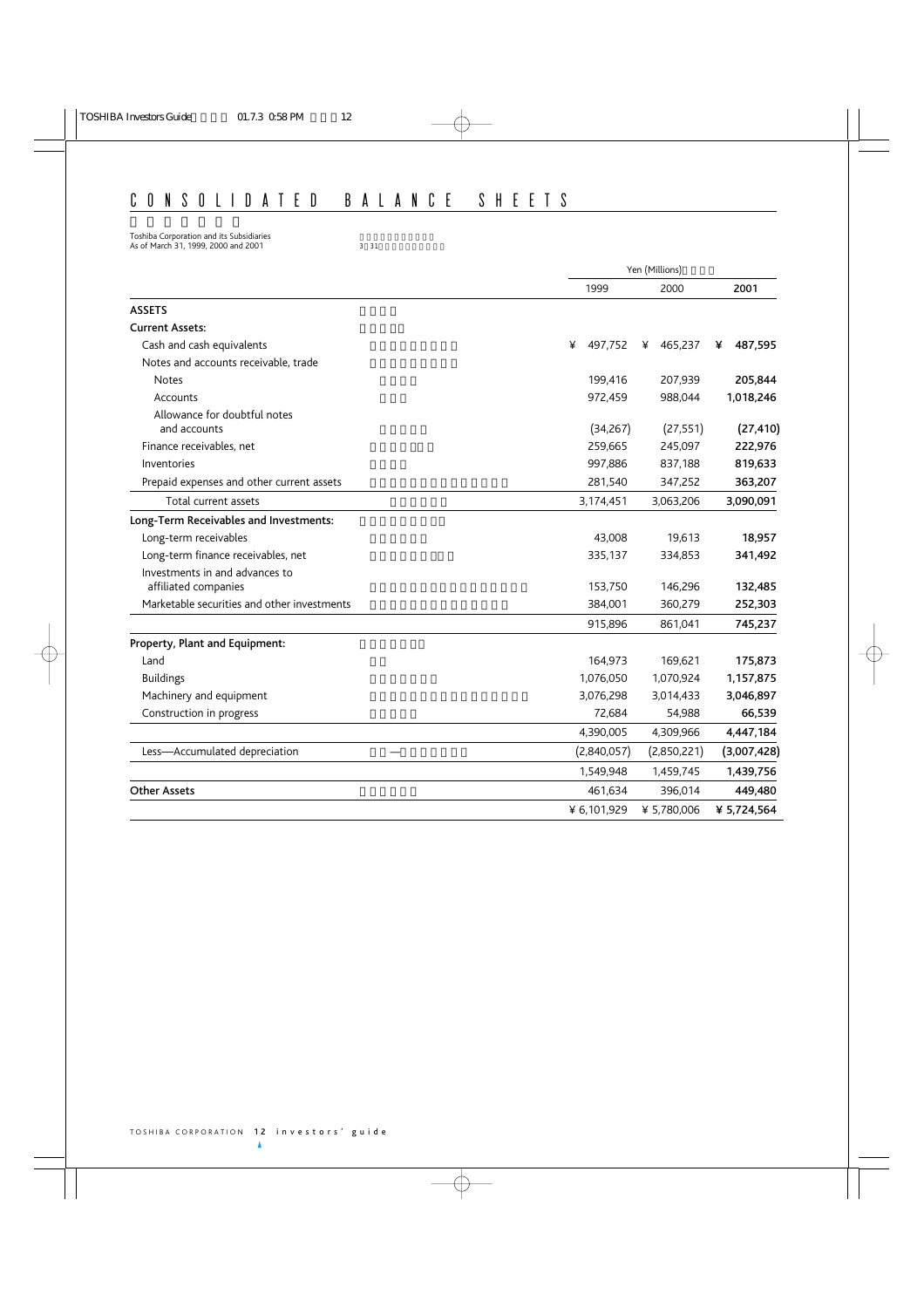# CONSOLIDATED BALANCE SHEETS

Toshiba Corporation and its Subsidiaries  $\overline{\phantom{a}}$ As of March 31, 1999, 2000 and 2001 3 31 31

|                                             | Yen (Millions) |  |              |              |  |
|---------------------------------------------|----------------|--|--------------|--------------|--|
|                                             | 1999           |  | 2000         | 2001         |  |
| <b>ASSETS</b>                               |                |  |              |              |  |
| <b>Current Assets:</b>                      |                |  |              |              |  |
| Cash and cash equivalents                   | ¥<br>497,752   |  | 465,237<br>¥ | 487,595<br>¥ |  |
| Notes and accounts receivable, trade        |                |  |              |              |  |
| <b>Notes</b>                                | 199.416        |  | 207,939      | 205,844      |  |
| Accounts                                    | 972,459        |  | 988,044      | 1,018,246    |  |
| Allowance for doubtful notes                |                |  |              |              |  |
| and accounts                                | (34, 267)      |  | (27, 551)    | (27, 410)    |  |
| Finance receivables, net                    | 259,665        |  | 245,097      | 222,976      |  |
| Inventories                                 | 997,886        |  | 837,188      | 819,633      |  |
| Prepaid expenses and other current assets   | 281,540        |  | 347,252      | 363,207      |  |
| Total current assets                        | 3,174,451      |  | 3,063,206    | 3,090,091    |  |
| Long-Term Receivables and Investments:      |                |  |              |              |  |
| Long-term receivables                       | 43,008         |  | 19,613       | 18,957       |  |
| Long-term finance receivables, net          | 335,137        |  | 334,853      | 341,492      |  |
| Investments in and advances to              |                |  |              |              |  |
| affiliated companies                        | 153,750        |  | 146,296      | 132,485      |  |
| Marketable securities and other investments | 384,001        |  | 360,279      | 252,303      |  |
|                                             | 915,896        |  | 861,041      | 745,237      |  |
| Property, Plant and Equipment:              |                |  |              |              |  |
| Land                                        | 164,973        |  | 169.621      | 175,873      |  |
| <b>Buildings</b>                            | 1,076,050      |  | 1,070,924    | 1,157,875    |  |
| Machinery and equipment                     | 3,076,298      |  | 3,014,433    | 3,046,897    |  |
| Construction in progress                    | 72,684         |  | 54,988       | 66,539       |  |
|                                             | 4,390,005      |  | 4,309,966    | 4,447,184    |  |
| Less-Accumulated depreciation               | (2,840,057)    |  | (2,850,221)  | (3,007,428)  |  |
|                                             | 1,549,948      |  | 1,459,745    | 1,439,756    |  |
| <b>Other Assets</b>                         | 461,634        |  | 396,014      | 449,480      |  |
|                                             | ¥ 6,101,929    |  | ¥ 5,780,006  | ¥ 5,724,564  |  |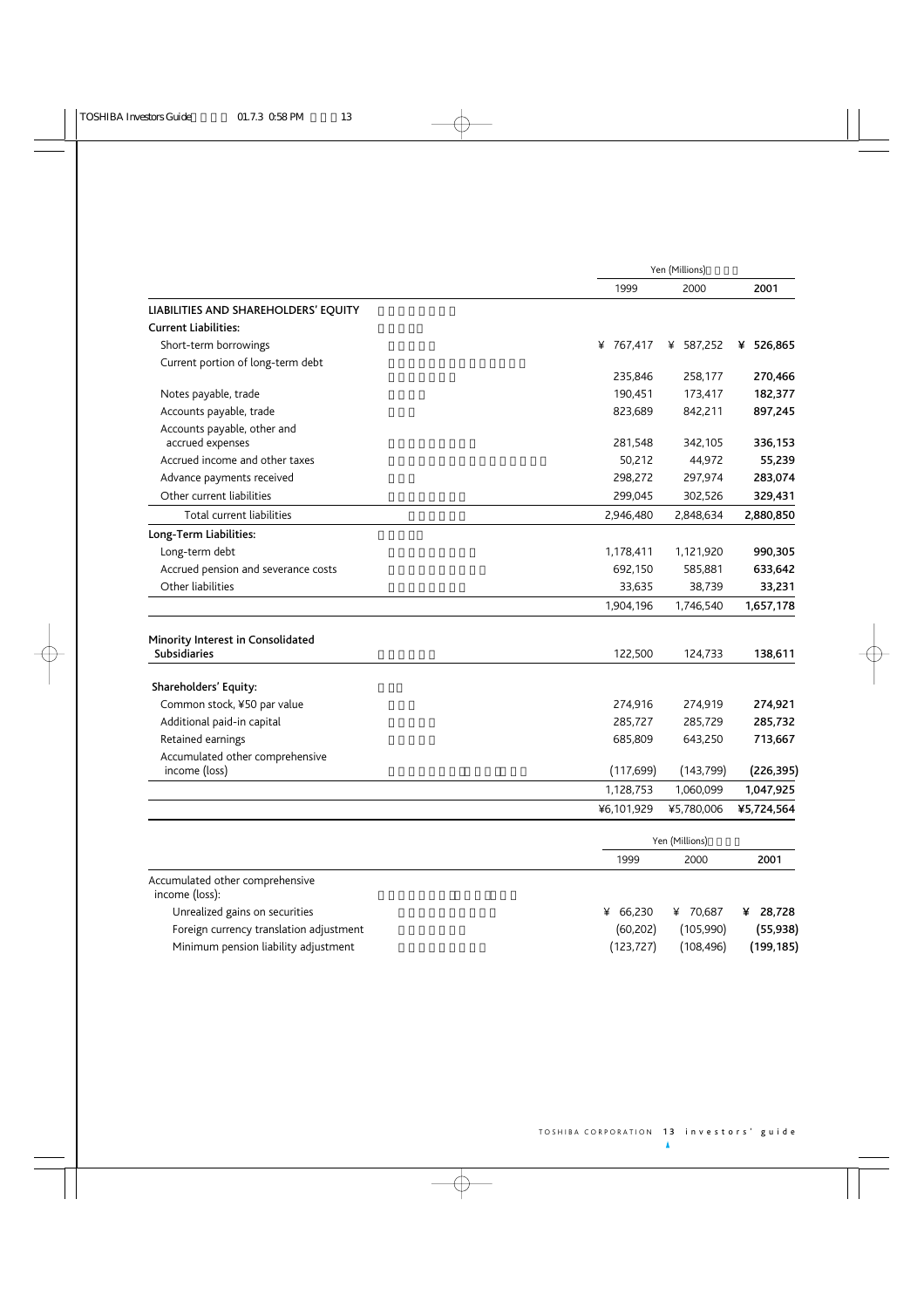|                                                          | Yen (Millions) |                |              |  |
|----------------------------------------------------------|----------------|----------------|--------------|--|
|                                                          | 1999           | 2000           | 2001         |  |
| LIABILITIES AND SHAREHOLDERS' EQUITY                     |                |                |              |  |
| <b>Current Liabilities:</b>                              |                |                |              |  |
| Short-term borrowings                                    | ¥ 767,417      | ¥ 587,252      | 526,865<br>¥ |  |
| Current portion of long-term debt                        |                |                |              |  |
|                                                          | 235,846        | 258,177        | 270,466      |  |
| Notes payable, trade                                     | 190,451        | 173,417        | 182,377      |  |
| Accounts payable, trade                                  | 823,689        | 842,211        | 897,245      |  |
| Accounts payable, other and<br>accrued expenses          | 281,548        | 342,105        | 336,153      |  |
| Accrued income and other taxes                           | 50,212         | 44,972         | 55,239       |  |
| Advance payments received                                | 298,272        | 297,974        | 283,074      |  |
| Other current liabilities                                | 299,045        | 302,526        | 329,431      |  |
| Total current liabilities                                | 2,946,480      | 2,848,634      | 2,880,850    |  |
| Long-Term Liabilities:                                   |                |                |              |  |
| Long-term debt                                           | 1,178,411      | 1,121,920      | 990,305      |  |
| Accrued pension and severance costs                      | 692,150        | 585,881        | 633,642      |  |
| Other liabilities                                        | 33,635         | 38,739         | 33,231       |  |
|                                                          | 1,904,196      | 1,746,540      | 1,657,178    |  |
| Minority Interest in Consolidated<br><b>Subsidiaries</b> | 122,500        | 124,733        | 138,611      |  |
| Shareholders' Equity:                                    |                |                |              |  |
| Common stock, ¥50 par value                              | 274,916        | 274,919        | 274,921      |  |
| Additional paid-in capital                               | 285,727        | 285,729        | 285,732      |  |
| Retained earnings                                        | 685,809        | 643,250        | 713,667      |  |
| Accumulated other comprehensive<br>income (loss)         | (117, 699)     | (143, 799)     | (226, 395)   |  |
|                                                          | 1,128,753      | 1,060,099      | 1,047,925    |  |
|                                                          | ¥6,101,929     | ¥5,780,006     | ¥5,724,564   |  |
|                                                          |                |                |              |  |
|                                                          |                | Yen (Millions) |              |  |
|                                                          | 1999           | 2000           | 2001         |  |
| Accumulated other comprehensive<br>income (loss):        |                |                |              |  |
| Unrealized gains on securities                           | ¥ 66,230       | ¥ 70,687       | ¥ 28,728     |  |
| Foreign currency translation adjustment                  | (60, 202)      | (105,990)      | (55, 938)    |  |
| Minimum pension liability adjustment                     | (123, 727)     | (108, 496)     | (199, 185)   |  |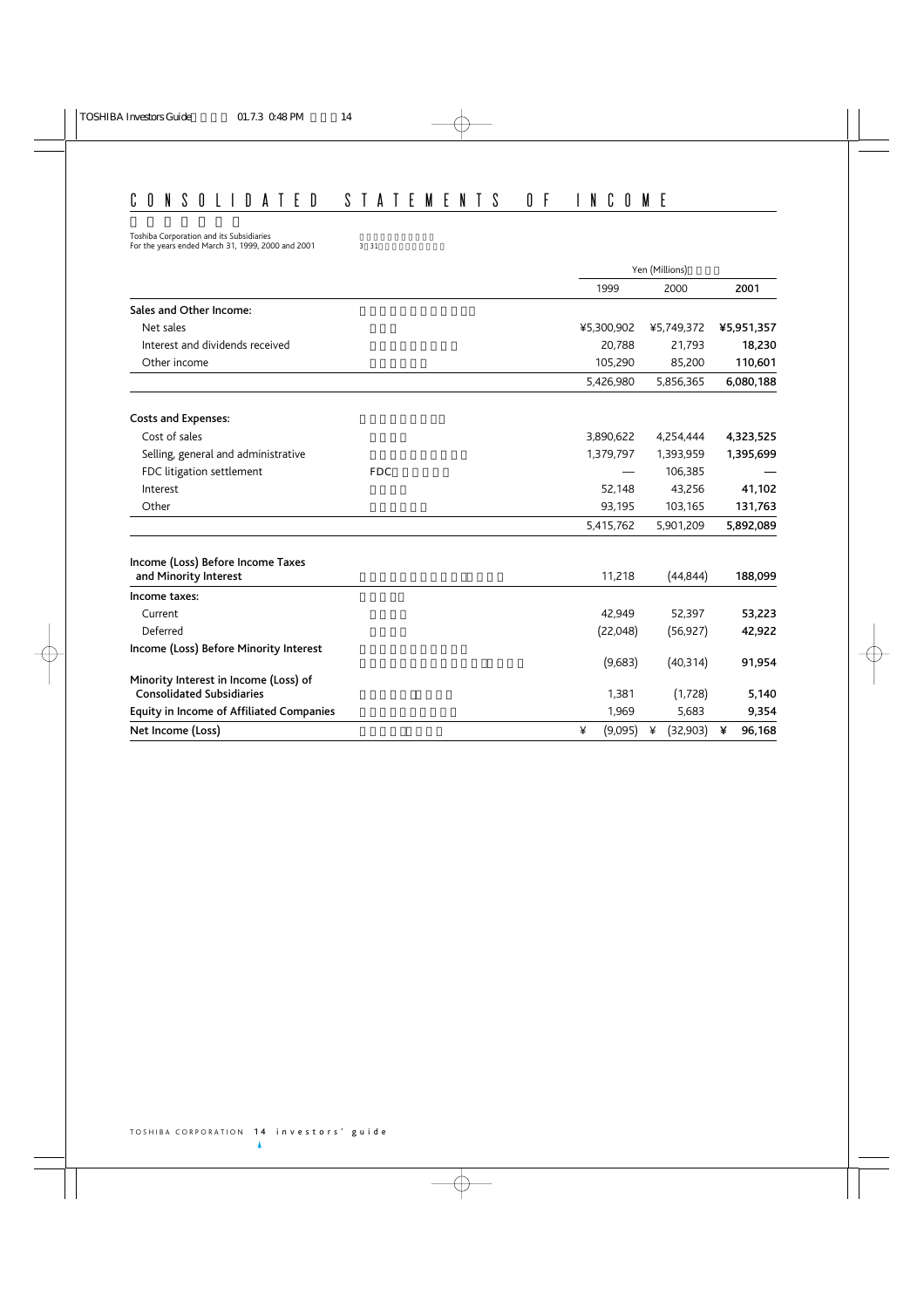# CONSOLIDATED STATEMENTS OF INCOME

Toshiba Corporation and its Subsidiaries  $\overline{\phantom{a}}$ 

For the years ended March 31, 1999, 2000 and 2001 3 31

|                                                                           | Yen (Millions)                               |
|---------------------------------------------------------------------------|----------------------------------------------|
|                                                                           | 2001<br>1999<br>2000                         |
| Sales and Other Income:                                                   |                                              |
| Net sales                                                                 | ¥5,300,902<br>¥5,749,372<br>¥5,951,357       |
| Interest and dividends received                                           | 20,788<br>21,793<br>18,230                   |
| Other income                                                              | 105,290<br>85,200<br>110,601                 |
|                                                                           | 6,080,188<br>5,426,980<br>5,856,365          |
| <b>Costs and Expenses:</b>                                                |                                              |
| Cost of sales                                                             | 3,890,622<br>4,254,444<br>4,323,525          |
| Selling, general and administrative                                       | 1,395,699<br>1,379,797<br>1,393,959          |
| FDC litigation settlement<br><b>FDC</b>                                   | 106,385                                      |
| Interest                                                                  | 52,148<br>43,256<br>41,102                   |
| Other                                                                     | 93,195<br>131,763<br>103,165                 |
|                                                                           | 5,892,089<br>5,415,762<br>5,901,209          |
| Income (Loss) Before Income Taxes<br>and Minority Interest                | 11,218<br>(44, 844)<br>188,099               |
| Income taxes:                                                             |                                              |
| Current                                                                   | 42,949<br>52,397<br>53,223                   |
| Deferred                                                                  | (22,048)<br>(56, 927)<br>42,922              |
| Income (Loss) Before Minority Interest                                    | (9,683)<br>(40, 314)<br>91,954               |
| Minority Interest in Income (Loss) of<br><b>Consolidated Subsidiaries</b> | (1,728)<br>1,381<br>5,140                    |
| <b>Equity in Income of Affiliated Companies</b>                           | 1,969<br>5,683<br>9,354                      |
| Net Income (Loss)                                                         | (9,095)<br>(32,903)<br>96,168<br>¥<br>¥<br>¥ |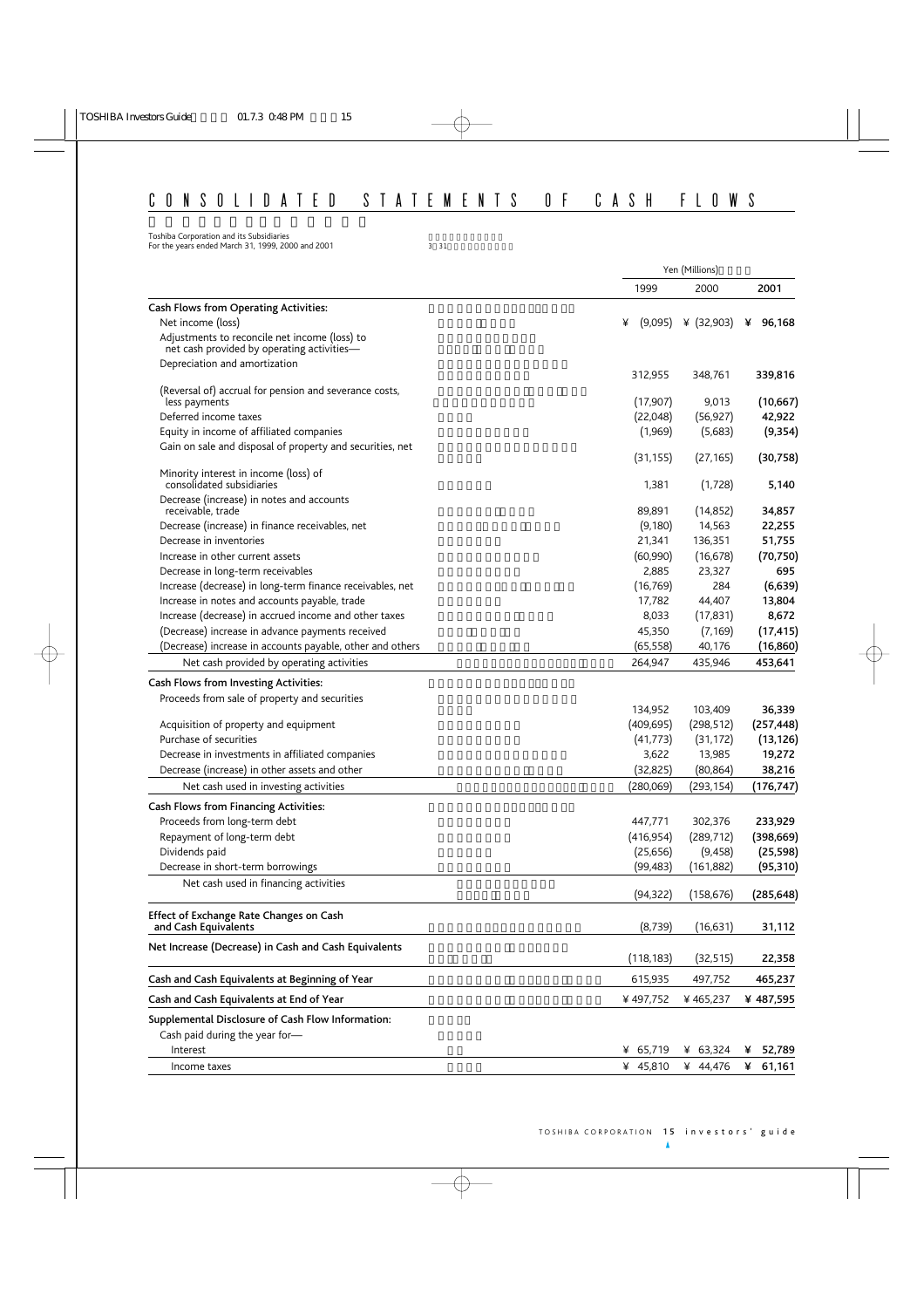# CONSOLIDATED STATEMENTS OF CASH FLOWS

Toshiba Corporation and its Subsidiaries  $\overline{\phantom{a}}$ For the years ended March 31, 1999, 2000 and 2001  $3 \times 31$ 

|                                                                                                  |                    | Yen (Millions)      |                       |
|--------------------------------------------------------------------------------------------------|--------------------|---------------------|-----------------------|
|                                                                                                  | 1999               | 2000                | 2001                  |
| <b>Cash Flows from Operating Activities:</b>                                                     |                    |                     |                       |
| Net income (loss)                                                                                | ¥<br>(9,095)       | ¥ $(32,903)$        | ¥<br>96,168           |
| Adjustments to reconcile net income (loss) to<br>net cash provided by operating activities-      |                    |                     |                       |
| Depreciation and amortization                                                                    | 312,955            | 348,761             | 339,816               |
| (Reversal of) accrual for pension and severance costs,                                           |                    |                     |                       |
| less payments                                                                                    | (17,907)           | 9,013               | (10, 667)             |
| Deferred income taxes                                                                            | (22,048)           | (56, 927)           | 42,922                |
| Equity in income of affiliated companies                                                         | (1,969)            | (5,683)             | (9, 354)              |
| Gain on sale and disposal of property and securities, net                                        | (31, 155)          | (27, 165)           | (30, 758)             |
| Minority interest in income (loss) of<br>consolidated subsidiaries                               | 1,381              | (1,728)             | 5,140                 |
| Decrease (increase) in notes and accounts                                                        |                    |                     |                       |
| receivable, trade                                                                                | 89,891             | (14, 852)           | 34,857                |
| Decrease (increase) in finance receivables, net                                                  | (9,180)            | 14,563              | 22,255                |
| Decrease in inventories                                                                          | 21,341             | 136,351             | 51,755                |
| Increase in other current assets                                                                 | (60,990)           | (16, 678)           | (70, 750)             |
| Decrease in long-term receivables                                                                | 2,885              | 23,327              | 695                   |
| Increase (decrease) in long-term finance receivables, net                                        | (16, 769)          | 284                 | (6,639)               |
| Increase in notes and accounts payable, trade                                                    | 17,782             | 44,407              | 13,804                |
| Increase (decrease) in accrued income and other taxes                                            | 8,033              | (17, 831)           | 8,672                 |
| (Decrease) increase in advance payments received                                                 | 45,350             | (7, 169)            | (17, 415)             |
| (Decrease) increase in accounts payable, other and others                                        | (65, 558)          | 40,176              | (16, 860)             |
| Net cash provided by operating activities                                                        | 264,947            | 435,946             | 453,641               |
| Cash Flows from Investing Activities:                                                            |                    |                     |                       |
| Proceeds from sale of property and securities                                                    |                    |                     |                       |
|                                                                                                  | 134,952            | 103,409             | 36,339                |
| Acquisition of property and equipment                                                            | (409, 695)         | (298, 512)          | (257, 448)            |
| Purchase of securities                                                                           | (41, 773)          | (31, 172)           | (13, 126)             |
| Decrease in investments in affiliated companies<br>Decrease (increase) in other assets and other | 3,622<br>(32, 825) | 13,985<br>(80, 864) | 19,272<br>38,216      |
| Net cash used in investing activities                                                            | (280,069)          | (293, 154)          | (176, 747)            |
|                                                                                                  |                    |                     |                       |
| <b>Cash Flows from Financing Activities:</b>                                                     | 447,771            | 302,376             |                       |
| Proceeds from long-term debt<br>Repayment of long-term debt                                      | (416, 954)         | (289, 712)          | 233,929<br>(398, 669) |
| Dividends paid                                                                                   | (25,656)           | (9, 458)            | (25, 598)             |
| Decrease in short-term borrowings                                                                | (99, 483)          | (161, 882)          | (95, 310)             |
| Net cash used in financing activities                                                            |                    |                     |                       |
|                                                                                                  | (94, 322)          | (158, 676)          | (285, 648)            |
| Effect of Exchange Rate Changes on Cash<br>and Cash Equivalents                                  | (8, 739)           | (16,631)            | 31,112                |
|                                                                                                  |                    |                     |                       |
| Net Increase (Decrease) in Cash and Cash Equivalents                                             | (118, 183)         | (32, 515)           | 22,358                |
| Cash and Cash Equivalents at Beginning of Year                                                   | 615,935            | 497,752             | 465,237               |
| Cash and Cash Equivalents at End of Year                                                         | ¥497,752           | ¥465,237            | ¥487,595              |
| Supplemental Disclosure of Cash Flow Information:                                                |                    |                     |                       |
| Cash paid during the year for-                                                                   |                    |                     |                       |
| Interest                                                                                         | ¥ 65,719           | ¥ $63,324$          | 52,789<br>¥           |
| Income taxes                                                                                     | ¥ 45,810           | ¥ 44,476            | 61,161<br>¥           |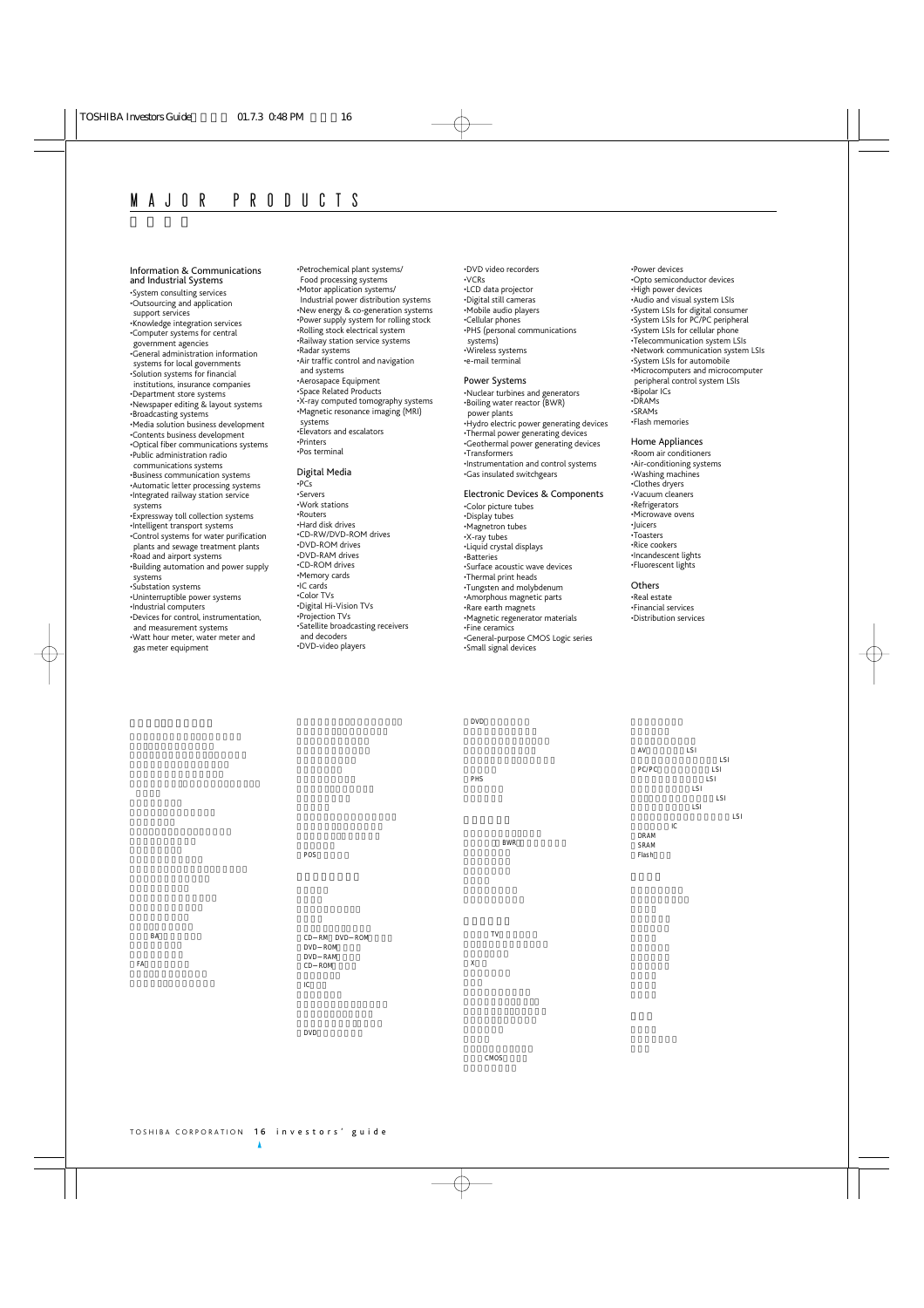Information & Communications and Industrial Systems •System consulting services •Outsourcing and application support services •Knowledge integration services •Computer systems for central government agencies •General administration information systems for local governments •Solution systems for financial institutions, insurance companies •Department store systems •Newspaper editing & layout systems •Broadcasting systems •Media solution business development •Contents business development •Optical fiber communications systems •Public administration radio communications systems •Business communication systems •Automatic letter processing systems •Integrated railway station service systems •Expressway toll collection systems •Intelligent transport systems •Control systems for water purification plants and sewage treatment plants •Road and airport systems •Building automation and power supply systems •Substation systems •Uninterruptible power systems

•Industrial computers •Devices for control, instrumentation, and measurement systems •Watt hour meter, water meter and gas meter equipment

•Petrochemical plant systems/ Food processing systems •Motor application systems/ Industrial power distribution systems •New energy & co-generation systems •Power supply system for rolling stock •Rolling stock electrical system •Railway station service systems •Radar systems •Air traffic control and navigation and systems •Aerosapace Equipment •Space Related Products •X-ray computed tomography systems •Magnetic resonance imaging (MRI) systems •Elevators and escalators •Printers •Pos terminal

#### Digital Media

•PCs •Servers •Work stations •Routers •Hard disk drives •CD-RW/DVD-ROM drives •DVD-ROM drives •DVD-RAM drives •CD-ROM drives •Memory cards •IC cards •Color TVs •Digital Hi-Vision TVs •Projection TVs •Satellite broadcasting receivers and decoders •DVD-video players

•DVD video recorders •VCRs •LCD data projector •Digital still cameras •Mobile audio players •Cellular phones •PHS (personal communications systems) •Wireless systems •e-mail terminal

#### Power Systems

•Nuclear turbines and generators •Boiling water reactor (BWR) power plants •Hydro electric power generating devices •Thermal power generating devices •Geothermal power generating devices •Transformers •Instrumentation and control systems •Gas insulated switchgears

#### Electronic Devices & Components

•Color picture tubes •Display tubes •Magnetron tubes •X-ray tubes •Liquid crystal displays •Batteries •Surface acoustic wave devices •Thermal print heads •Tungsten and molybdenum •Amorphous magnetic parts •Rare earth magnets •Magnetic regenerator materials •Fine ceramics •General-purpose CMOS Logic series •Small signal devices

•Power devices •Opto semiconductor devices •High power devices •Audio and visual system LSIs •System LSIs for digital consumer •System LSIs for PC/PC peripheral •System LSIs for cellular phone •Telecommunication system LSIs •Network communication system LSIs •System LSIs for automobile •Microcomputers and microcomputer peripheral control system LSIs •Bipolar ICs •DRAMs •SRAMs •Flash memories

#### Home Appliances

•Room air conditioners •Air-conditioning systems •Washing machines •Clothes dryers •Vacuum cleaners •Refrigerators •Microwave ovens •Juicers •Toasters •Rice cookers •Incandescent lights •Fluorescent lights

#### **Others**

•Real estate •Financial services •Distribution services



example. BA

FAコンピューター

CD RM DVD ROM DVD ROM DVD RAM CD ROM  $\overline{C}$ 

DVDビデオプレーヤ

POS

CMOS

・カラーTV用ブラウン管

X線管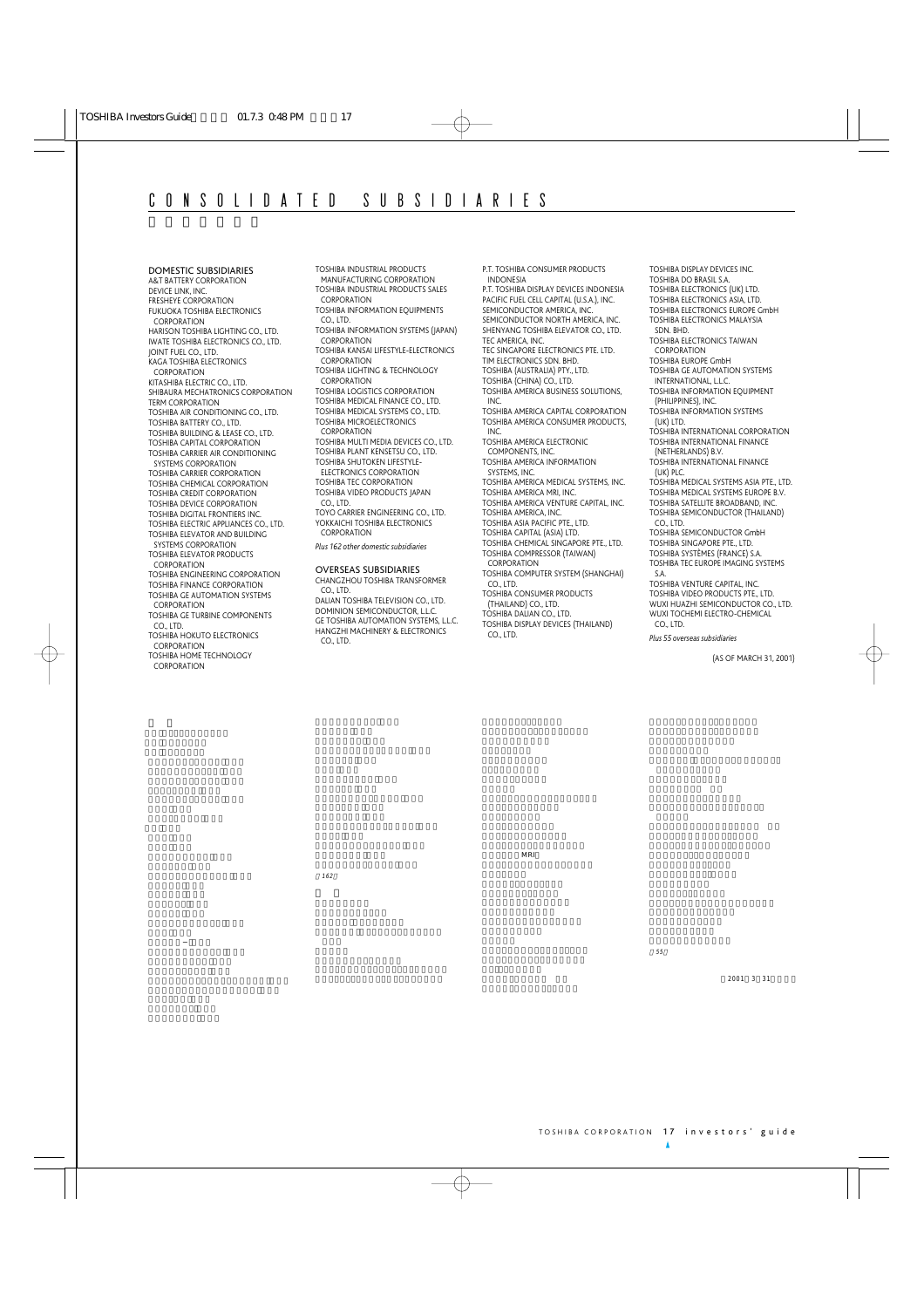DOMESTIC SUBSIDIARIES A&T BATTERY CORPORATION DEVICE LINK, INC. FRESHEYE CORPORATION FUKUOKA TOSHIBA ELECTRONICS CORPORATION HARISON TOSHIBA LIGHTING CO., LTD. IWATE TOSHIBA ELECTRONICS CO., LTD. JOINT FUEL CO., LTD. KAGA TOSHIBA ELECTRONICS **CORPORATION** KITASHIBA ELECTRIC CO., LTD. SHIBAURA MECHATRONICS CORPORATION TERM CORPORATION TOSHIBA AIR CONDITIONING CO., LTD. TOSHIBA BATTERY CO., LTD. TOSHIBA BUILDING & LEASE CO., LTD. TOSHIBA CAPITAL CORPORATION TOSHIBA CARRIER AIR CONDITIONING SYSTEMS CORPORATION TOSHIBA CARRIER CORPORATION TOSHIBA CHEMICAL CORPORATION TOSHIBA CREDIT CORPORATION TOSHIBA DEVICE CORPORATION TOSHIBA DIGITAL FRONTIERS INC. TOSHIBA ELECTRIC APPLIANCES CO., LTD. TOSHIBA ELEVATOR AND BUILDING SYSTEMS CORPORATION TOSHIBA ELEVATOR PRODUCTS CORPORATION TOSHIBA ENGINEERING CORPORATION TOSHIBA FINANCE CORPORATION TOSHIBA GE AUTOMATION SYSTEMS CORPORATION TOSHIBA GE TURBINE COMPONENTS CO., LTD. TOSHIBA HOKUTO ELECTRONICS CORPORATION TOSHIBA HOME TECHNOLOGY CORPORATION

TOSHIBA INDUSTRIAL PRODUCTS MANUFACTURING CORPORATION TOSHIBA INDUSTRIAL PRODUCTS SALES **CORPORATION** TOSHIBA INFORMATION EQUIPMENTS CO., LTD. TOSHIBA INFORMATION SYSTEMS (JAPAN) CORPORATION TOSHIBA KANSAI LIFESTYLE-ELECTRONICS CORPORATION TOSHIBA LIGHTING & TECHNOLOGY CORPORATION TOSHIBA LOGISTICS CORPORATION TOSHIBA MEDICAL FINANCE CO., LTD. TOSHIBA MEDICAL SYSTEMS CO., LTD. TOSHIBA MICROELECTRONICS CORPORATION TOSHIBA MULTI MEDIA DEVICES CO., LTD. TOSHIBA PLANT KENSETSU CO., LTD. TOSHIBA SHUTOKEN LIFESTYLE-ELECTRONICS CORPORATION TOSHIBA TEC CORPORATION TOSHIBA VIDEO PRODUCTS JAPAN CO., LTD. TOYO CARRIER ENGINEERING CO., LTD. YOKKAICHI TOSHIBA ELECTRONICS **CORPORATION** *Plus 162 other domestic subsidiaries* OVERSEAS SUBSIDIARIES CHANGZHOU TOSHIBA TRANSFORMER CO., LTD.

DALIAN TOSHIBA TELEVISION CO., LTD. DOMINION SEMICONDUCTOR, L.L.C. GE TOSHIBA AUTOMATION SYSTEMS, L.L.C. HANGZHI MACHINERY & ELECTRONICS CO., LTD.

P.T. TOSHIBA CONSUMER PRODUCTS INDONESIA P.T. TOSHIBA DISPLAY DEVICES INDONESIA PACIFIC FUEL CELL CAPITAL (U.S.A.), INC. SEMICONDUCTOR AMERICA, INC. SEMICONDUCTOR NORTH AMERICA, INC. SHENYANG TOSHIBA ELEVATOR CO., LTD. TEC AMERICA, INC. TEC SINGAPORE ELECTRONICS PTE. LTD. TIM ELECTRONICS SDN. BHD. TOSHIBA (AUSTRALIA) PTY., LTD. TOSHIBA (CHINA) CO., LTD. TOSHIBA AMERICA BUSINESS SOLUTIONS, INC. TOSHIBA AMERICA CAPITAL CORPORATION TOSHIBA AMERICA CONSUMER PRODUCTS, INC. TOSHIBA AMERICA ELECTRONIC COMPONENTS, INC. TOSHIBA AMERICA INFORMATION SYSTEMS, INC. TOSHIBA AMERICA MEDICAL SYSTEMS, INC. TOSHIBA AMERICA MRI, INC. TOSHIBA AMERICA VENTURE CAPITAL, INC. TOSHIBA AMERICA, INC. TOSHIBA ASIA PACIFIC PTE., LTD. TOSHIBA CAPITAL (ASIA) LTD. TOSHIBA CHEMICAL SINGAPORE PTE., LTD. TOSHIBA COMPRESSOR (TAIWAN) CORPORATION TOSHIBA COMPUTER SYSTEM (SHANGHAI) CO., LTD. TOSHIBA CONSUMER PRODUCTS (THAILAND) CO., LTD. TOSHIBA DALIAN CO., LTD. TOSHIBA DISPLAY DEVICES (THAILAND) CO., LTD.

MRI

TOSHIBA DISPLAY DEVICES INC. TOSHIBA DO BRASIL S.A. TOSHIBA ELECTRONICS (UK) LTD. TOSHIBA ELECTRONICS ASIA, LTD. TOSHIBA ELECTRONICS EUROPE GmbH TOSHIBA ELECTRONICS MALAYSIA SDN. BHD. TOSHIBA ELECTRONICS TAIWAN **CORPORATION** TOSHIBA EUROPE GmbH TOSHIBA GE AUTOMATION SYSTEMS INTERNATIONAL, L.L.C. TOSHIBA INFORMATION EQUIPMENT (PHILIPPINES), INC. TOSHIBA INFORMATION SYSTEMS (UK) LTD. TOSHIBA INTERNATIONAL CORPORATION TOSHIBA INTERNATIONAL FINANCE (NETHERLANDS) B.V. TOSHIBA INTERNATIONAL FINANCE (UK) PLC. TOSHIBA MEDICAL SYSTEMS ASIA PTE., LTD. TOSHIBA MEDICAL SYSTEMS EUROPE B.V. TOSHIBA SATELLITE BROADBAND, INC. TOSHIBA SEMICONDUCTOR (THAILAND) CO., LTD. TOSHIBA SEMICONDUCTOR GmbH TOSHIBA SINGAPORE PTE., LTD. TOSHIBA SYSTÈMES (FRANCE) S.A. TOSHIBA TEC EUROPE IMAGING SYSTEMS S.A. TOSHIBA VENTURE CAPITAL, INC. TOSHIBA VIDEO PRODUCTS PTE., LTD. WUXI HUAZHI SEMICONDUCTOR CO., LTD. WUXI TOCHEMI ELECTRO-CHEMICAL CO., LTD. *Plus 55 overseas subsidiaries*

(AS OF MARCH 31, 2001)

162

 $2001$  3 31

55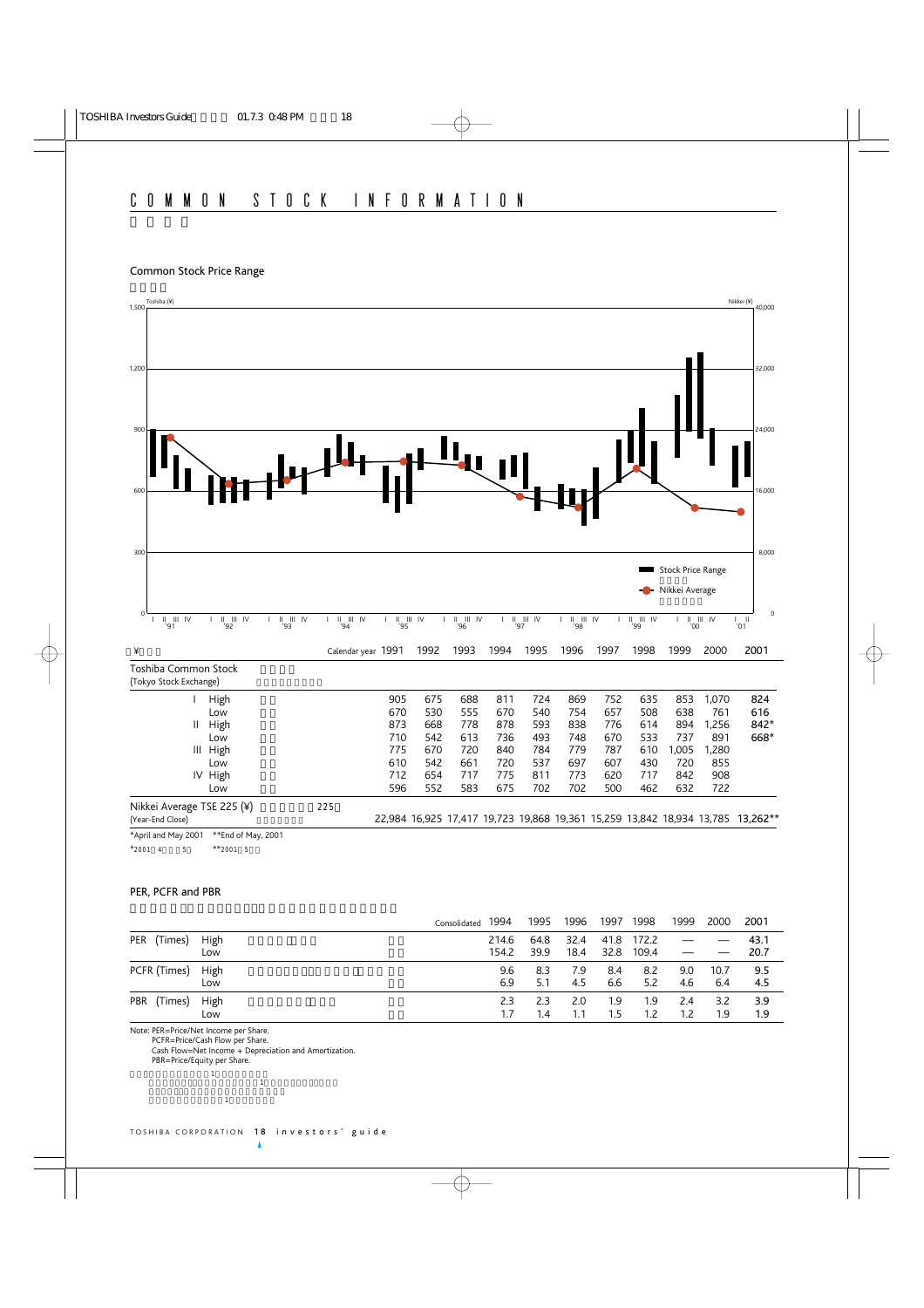### Common Stock Price Range



#### PER, PCFR and PBR

|                   |      | 1994<br>Consolidated | 1995 | 1996 | 1997            | 1998       | 1999 | 2000 | 2001 |
|-------------------|------|----------------------|------|------|-----------------|------------|------|------|------|
| PER (Times)       | High | 214.6                | 64.8 | 32.4 |                 | 41.8 172.2 |      |      | 43.1 |
|                   | Low  | 154.2                | 39.9 |      | 18.4 32.8 109.4 |            |      |      | 20.7 |
| PCFR (Times) High |      | 9.6                  | 8.3  | 7.9  | 8.4             | 8.2        | 9.0  | 10.7 | 9.5  |
|                   | Low  | 6.9                  | 5.1  | 4.5  | 6.6             | 5.2        | 4.6  | 6.4  | 4.5  |
| PBR (Times)       | High | 2.3                  | 23   | 2.0  | 1.9             | 1.9        | 2.4  | 3.2  | 3.9  |
|                   | Low  | 1.7                  | 1.4  | 1.1  | 1.5             | 1.2        | 1.2  | 1.9  | 1.9  |

Note: PER=Price/Net Income per Share.

注記:株価収益率=株価/1株当り当期純利益

PCFR=Price/Cash Flow per Share.

Cash Flow=Net Income + Depreciation and Amortization.

 $\mathbf 1$  - The results of the state  $\mathbf 1$  - The results of the state  $\mathbf 1$ 

PBR=Price/Equity per Share.

 $\pm$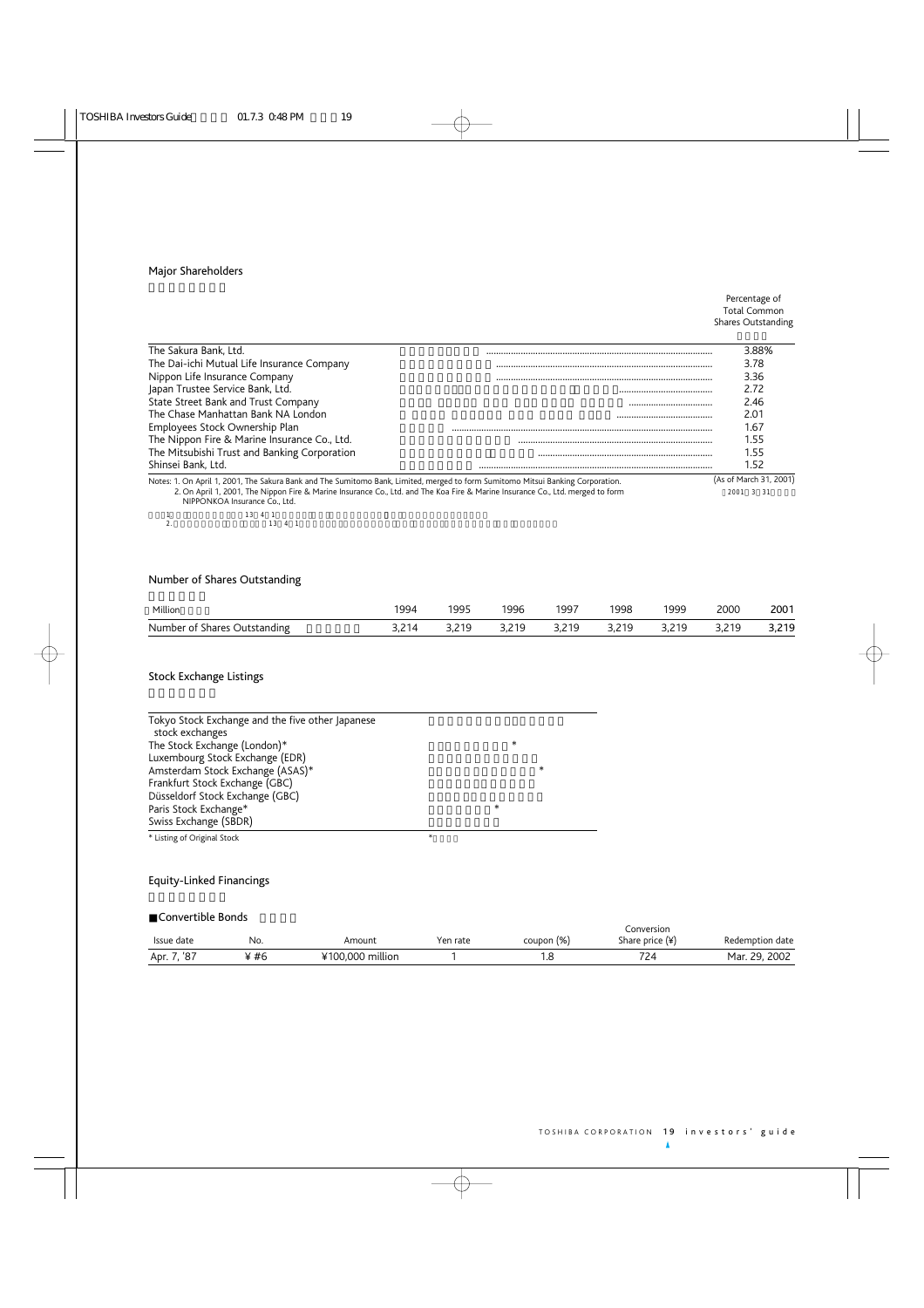# Major Shareholders

#### Percentage of Total Common Shares Outstanding

| The Sakura Bank. Ltd.                                                                                                                                           | 3.88%                  |
|-----------------------------------------------------------------------------------------------------------------------------------------------------------------|------------------------|
| The Dai-ichi Mutual Life Insurance Company                                                                                                                      | 3.78                   |
| Nippon Life Insurance Company                                                                                                                                   | 3.36                   |
| Japan Trustee Service Bank, Ltd.                                                                                                                                | 2.72                   |
| State Street Bank and Trust Company                                                                                                                             | <br>2.46               |
| The Chase Manhattan Bank NA London                                                                                                                              | 2.01                   |
| Employees Stock Ownership Plan                                                                                                                                  | 1.67                   |
| The Nippon Fire & Marine Insurance Co., Ltd.                                                                                                                    | 1.55                   |
| The Mitsubishi Trust and Banking Corporation                                                                                                                    | 1.55                   |
| Shinsei Bank, Ltd.                                                                                                                                              | 1.52                   |
| Notes: 1. On April 1, 2001, The Sakura Bank and The Sumitomo Bank, Limited, merged to form Sumitomo Mitsui Banking Corporation.                                 | (As of March 31, 2001) |
| 2. On April 1, 2001, The Nippon Fire & Marine Insurance Co., Ltd. and The Koa Fire & Marine Insurance Co., Ltd. merged to form<br>NIPPONKOA Insurance Co., Ltd. | 2001                   |
| 12 1 1                                                                                                                                                          |                        |

1. 13 4 1<br>2. 13 4 1

# Number of Shares Outstanding

| Million                      | 1994 | 1995 | 1996               | 1997               | 998   | 1999    | 2000 | 2001  |
|------------------------------|------|------|--------------------|--------------------|-------|---------|------|-------|
| Number of Shares Outstanding |      | 210  | 3 2 1 9<br>3.L I J | 3 2 1 9<br>3,2 I Y | 3.219 | 3 2 1 9 | 2210 | 3,219 |

# Stock Exchange Listings

| Tokyo Stock Exchange and the five other Japanese<br>stock exchanges |        |
|---------------------------------------------------------------------|--------|
| The Stock Exchange (London)*                                        | $\ast$ |
| Luxembourg Stock Exchange (EDR)                                     |        |
| Amsterdam Stock Exchange (ASAS)*                                    | ∗      |
| Frankfurt Stock Exchange (GBC)                                      |        |
| Düsseldorf Stock Exchange (GBC)                                     |        |
| Paris Stock Exchange*                                               | *      |
| Swiss Exchange (SBDR)                                               |        |
| * Listing of Original Stock                                         | *      |

# Equity-Linked Financings

# Convertible Bonds

| CONVENTION DONOS |      |                  |          |            | Conversion        |                 |
|------------------|------|------------------|----------|------------|-------------------|-----------------|
| Issue date       | No.  | Amount           | Yen rate | coupon (%) | Share price $(*)$ | Redemption date |
| Apr. 7, '87      | ¥ #6 | ¥100,000 million |          |            |                   | Mar. 29, 2002   |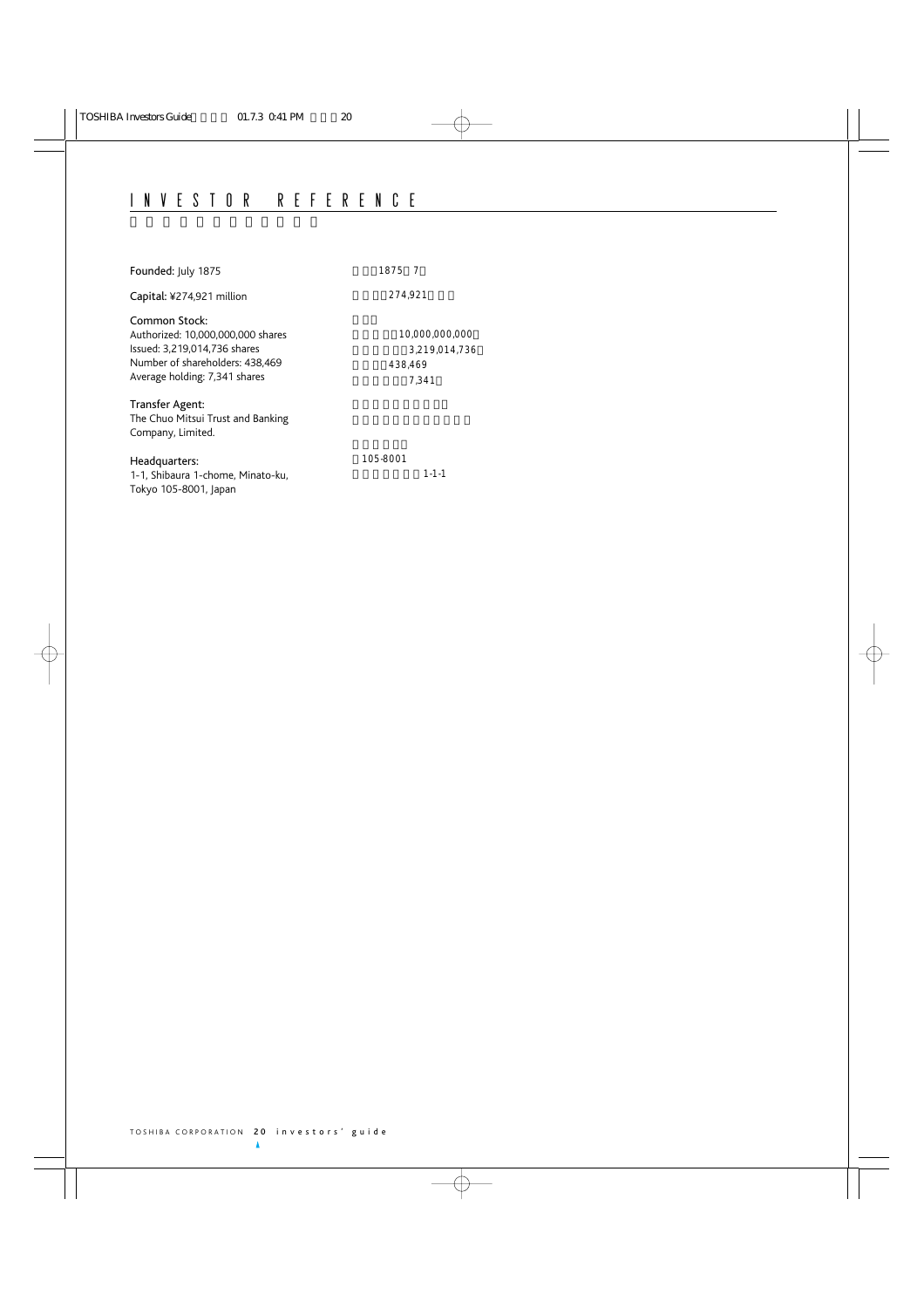| Founded: July 1875                                                                                                                                     | 1875 7                                              |
|--------------------------------------------------------------------------------------------------------------------------------------------------------|-----------------------------------------------------|
| Capital: ¥274,921 million                                                                                                                              | 274,921                                             |
| Common Stock:<br>Authorized: 10,000,000,000 shares<br>Issued: 3,219,014,736 shares<br>Number of shareholders: 438,469<br>Average holding: 7,341 shares | 10,000,000,000<br>3,219,014,736<br>438,469<br>7.341 |
| Transfer Agent:<br>The Chuo Mitsui Trust and Banking<br>Company, Limited.                                                                              |                                                     |
| Headquarters:<br>1-1, Shibaura 1-chome, Minato-ku,<br>Tokyo 105-8001, Japan                                                                            | 105-8001<br>$1 - 1 - 1$                             |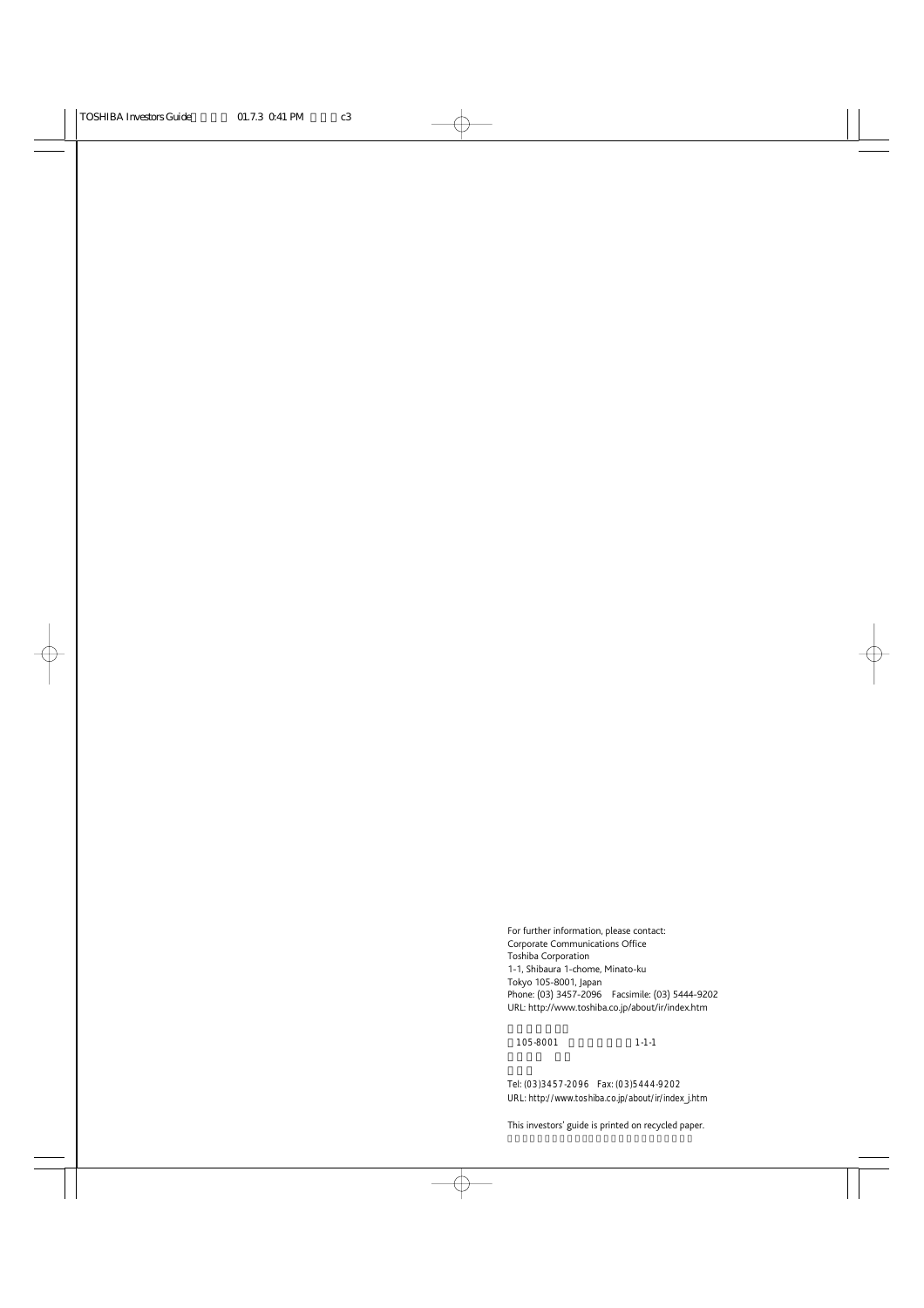For further information, please contact: Corporate Communications Office Toshiba Corporation 1-1, Shibaura 1-chome, Minato-ku Tokyo 105-8001, Japan Phone: (03) 3457-2096 Facsimile: (03) 5444-9202 URL: http://www.toshiba.co.jp/about/ir/index.htm

105-8001 1-1-1

Tel: (03)3457-2096 Fax: (03)5444-9202 URL: http://www.toshiba.co.jp/about/ir/index\_j.htm

This investors' guide is printed on recycled paper.